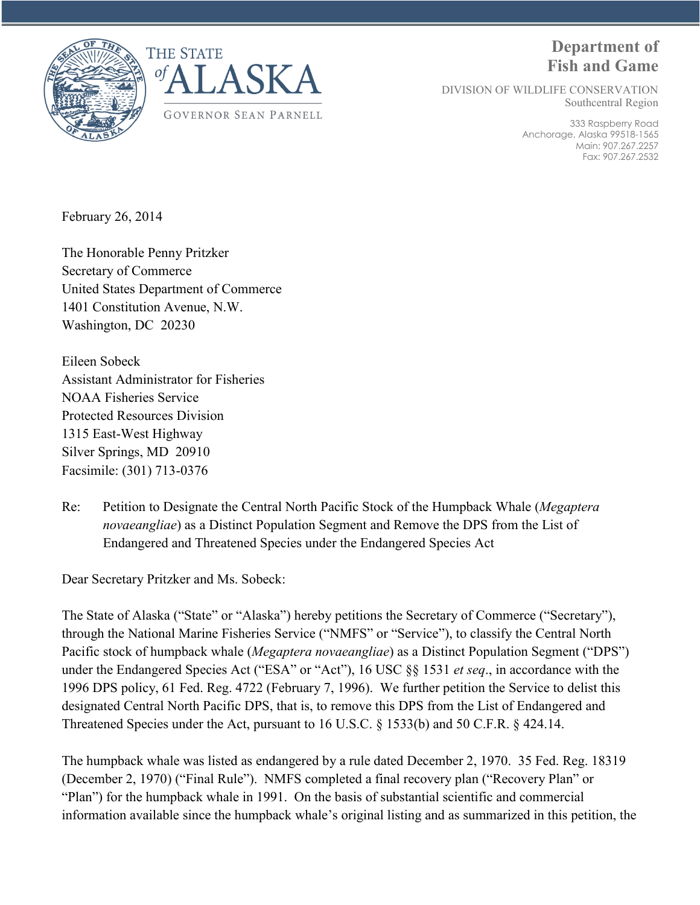

# **Department of Fish and Game**

DIVISION OF WILDLIFE CONSERVATION Southcentral Region

> 333 Raspberry Road Anchorage, Alaska 99518-1565 Main: 907.267.2257 Fax: 907.267.2532

February 26, 2014

The Honorable Penny Pritzker Secretary of Commerce United States Department of Commerce 1401 Constitution Avenue, N.W. Washington, DC 20230

Eileen Sobeck Assistant Administrator for Fisheries NOAA Fisheries Service Protected Resources Division 1315 East-West Highway Silver Springs, MD 20910 Facsimile: (301) 713-0376

Re: Petition to Designate the Central North Pacific Stock of the Humpback Whale (*Megaptera novaeangliae*) as a Distinct Population Segment and Remove the DPS from the List of Endangered and Threatened Species under the Endangered Species Act

Dear Secretary Pritzker and Ms. Sobeck:

The State of Alaska ("State" or "Alaska") hereby petitions the Secretary of Commerce ("Secretary"), through the National Marine Fisheries Service ("NMFS" or "Service"), to classify the Central North Pacific stock of humpback whale (*Megaptera novaeangliae*) as a Distinct Population Segment ("DPS") under the Endangered Species Act ("ESA" or "Act"), 16 USC §§ 1531 *et seq*., in accordance with the 1996 DPS policy, 61 Fed. Reg. 4722 (February 7, 1996). We further petition the Service to delist this designated Central North Pacific DPS, that is, to remove this DPS from the List of Endangered and Threatened Species under the Act, pursuant to 16 U.S.C. § 1533(b) and 50 C.F.R. § 424.14.

The humpback whale was listed as endangered by a rule dated December 2, 1970. 35 Fed. Reg. 18319 (December 2, 1970) ("Final Rule"). NMFS completed a final recovery plan ("Recovery Plan" or "Plan") for the humpback whale in 1991. On the basis of substantial scientific and commercial information available since the humpback whale's original listing and as summarized in this petition, the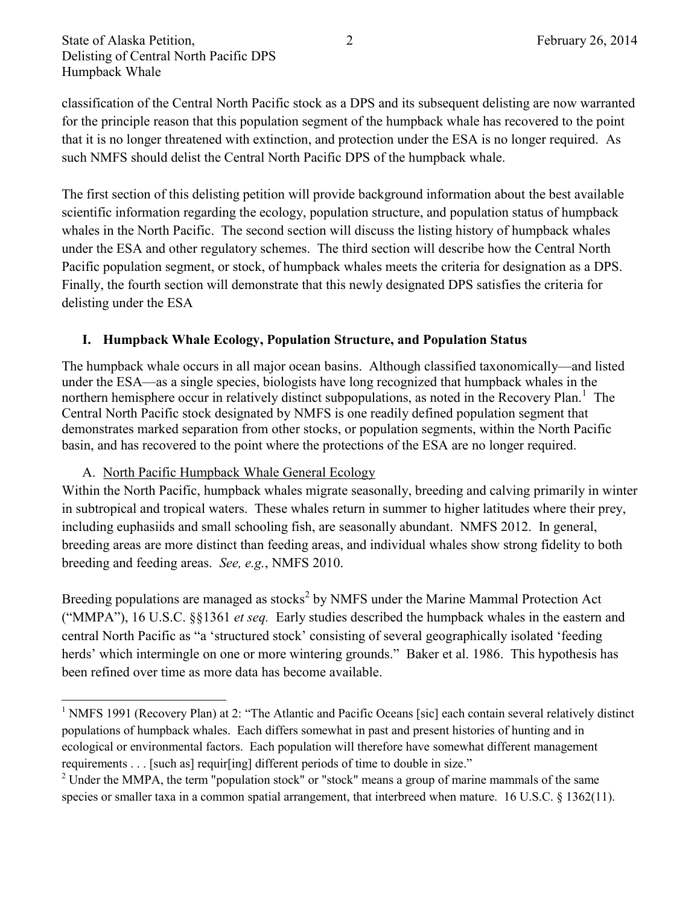classification of the Central North Pacific stock as a DPS and its subsequent delisting are now warranted for the principle reason that this population segment of the humpback whale has recovered to the point that it is no longer threatened with extinction, and protection under the ESA is no longer required. As such NMFS should delist the Central North Pacific DPS of the humpback whale.

The first section of this delisting petition will provide background information about the best available scientific information regarding the ecology, population structure, and population status of humpback whales in the North Pacific. The second section will discuss the listing history of humpback whales under the ESA and other regulatory schemes. The third section will describe how the Central North Pacific population segment, or stock, of humpback whales meets the criteria for designation as a DPS. Finally, the fourth section will demonstrate that this newly designated DPS satisfies the criteria for delisting under the ESA

#### **I. Humpback Whale Ecology, Population Structure, and Population Status**

The humpback whale occurs in all major ocean basins. Although classified taxonomically—and listed under the ESA—as a single species, biologists have long recognized that humpback whales in the northern hemisphere occur in relatively distinct subpopulations, as noted in the Recovery Plan.<sup>1</sup> The Central North Pacific stock designated by NMFS is one readily defined population segment that demonstrates marked separation from other stocks, or population segments, within the North Pacific basin, and has recovered to the point where the protections of the ESA are no longer required.

#### A. North Pacific Humpback Whale General Ecology

 $\overline{\phantom{a}}$ 

Within the North Pacific, humpback whales migrate seasonally, breeding and calving primarily in winter in subtropical and tropical waters. These whales return in summer to higher latitudes where their prey, including euphasiids and small schooling fish, are seasonally abundant. NMFS 2012. In general, breeding areas are more distinct than feeding areas, and individual whales show strong fidelity to both breeding and feeding areas. *See, e.g.*, NMFS 2010.

Breeding populations are managed as stocks<sup>2</sup> by NMFS under the Marine Mammal Protection Act ("MMPA"), 16 U.S.C. §§1361 *et seq.* Early studies described the humpback whales in the eastern and central North Pacific as "a 'structured stock' consisting of several geographically isolated 'feeding herds' which intermingle on one or more wintering grounds." Baker et al. 1986. This hypothesis has been refined over time as more data has become available.

<sup>&</sup>lt;sup>1</sup> NMFS 1991 (Recovery Plan) at 2: "The Atlantic and Pacific Oceans [sic] each contain several relatively distinct populations of humpback whales. Each differs somewhat in past and present histories of hunting and in ecological or environmental factors. Each population will therefore have somewhat different management requirements . . . [such as] requir[ing] different periods of time to double in size."

<sup>&</sup>lt;sup>2</sup> Under the MMPA, the term "population stock" or "stock" means a group of marine mammals of the same species or smaller taxa in a common spatial arrangement, that interbreed when mature. 16 U.S.C. § 1362(11).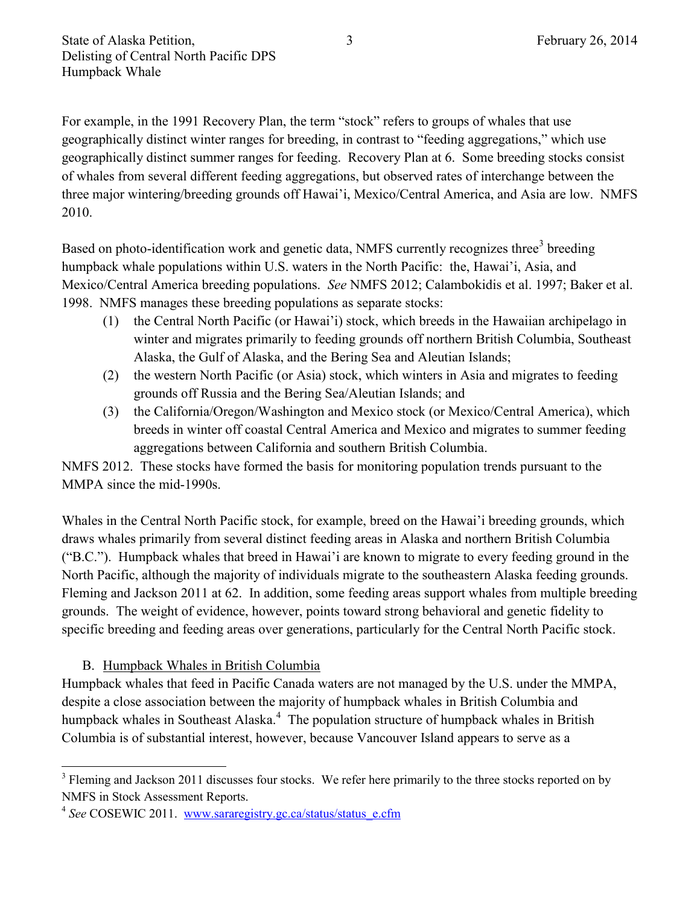For example, in the 1991 Recovery Plan, the term "stock" refers to groups of whales that use geographically distinct winter ranges for breeding, in contrast to "feeding aggregations," which use geographically distinct summer ranges for feeding. Recovery Plan at 6. Some breeding stocks consist of whales from several different feeding aggregations, but observed rates of interchange between the three major wintering/breeding grounds off Hawai'i, Mexico/Central America, and Asia are low. NMFS 2010.

Based on photo-identification work and genetic data, NMFS currently recognizes three<sup>3</sup> breeding humpback whale populations within U.S. waters in the North Pacific: the, Hawai'i, Asia, and Mexico/Central America breeding populations. *See* NMFS 2012; Calambokidis et al. 1997; Baker et al. 1998. NMFS manages these breeding populations as separate stocks:

- (1) the Central North Pacific (or Hawai'i) stock, which breeds in the Hawaiian archipelago in winter and migrates primarily to feeding grounds off northern British Columbia, Southeast Alaska, the Gulf of Alaska, and the Bering Sea and Aleutian Islands;
- (2) the western North Pacific (or Asia) stock, which winters in Asia and migrates to feeding grounds off Russia and the Bering Sea/Aleutian Islands; and
- (3) the California/Oregon/Washington and Mexico stock (or Mexico/Central America), which breeds in winter off coastal Central America and Mexico and migrates to summer feeding aggregations between California and southern British Columbia.

NMFS 2012. These stocks have formed the basis for monitoring population trends pursuant to the MMPA since the mid-1990s.

Whales in the Central North Pacific stock, for example, breed on the Hawai'i breeding grounds, which draws whales primarily from several distinct feeding areas in Alaska and northern British Columbia ("B.C."). Humpback whales that breed in Hawai'i are known to migrate to every feeding ground in the North Pacific, although the majority of individuals migrate to the southeastern Alaska feeding grounds. Fleming and Jackson 2011 at 62. In addition, some feeding areas support whales from multiple breeding grounds. The weight of evidence, however, points toward strong behavioral and genetic fidelity to specific breeding and feeding areas over generations, particularly for the Central North Pacific stock.

## B. Humpback Whales in British Columbia

 $\overline{\phantom{a}}$ 

Humpback whales that feed in Pacific Canada waters are not managed by the U.S. under the MMPA, despite a close association between the majority of humpback whales in British Columbia and humpback whales in Southeast Alaska.<sup>4</sup> The population structure of humpback whales in British Columbia is of substantial interest, however, because Vancouver Island appears to serve as a

<sup>&</sup>lt;sup>3</sup> Fleming and Jackson 2011 discusses four stocks. We refer here primarily to the three stocks reported on by NMFS in Stock Assessment Reports.

<sup>&</sup>lt;sup>4</sup> See COSEWIC 2011. www.sararegistry.gc.ca/status/status\_e.cfm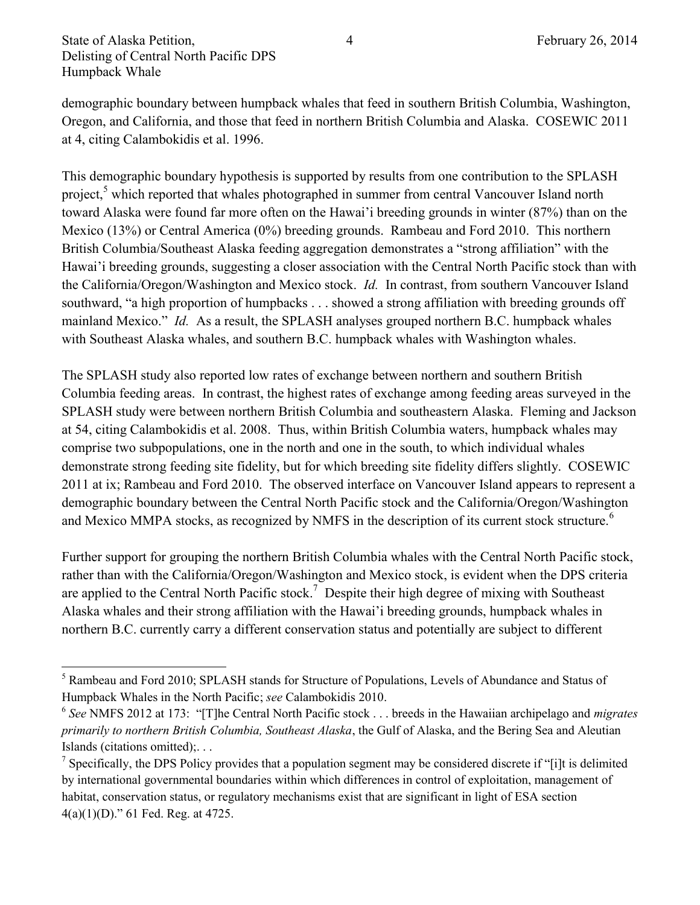State of Alaska Petition,  $\frac{4}{4}$  February 26, 2014 Delisting of Central North Pacific DPS Humpback Whale

demographic boundary between humpback whales that feed in southern British Columbia, Washington, Oregon, and California, and those that feed in northern British Columbia and Alaska. COSEWIC 2011 at 4, citing Calambokidis et al. 1996.

This demographic boundary hypothesis is supported by results from one contribution to the SPLASH project,<sup>5</sup> which reported that whales photographed in summer from central Vancouver Island north toward Alaska were found far more often on the Hawai'i breeding grounds in winter (87%) than on the Mexico (13%) or Central America (0%) breeding grounds. Rambeau and Ford 2010. This northern British Columbia/Southeast Alaska feeding aggregation demonstrates a "strong affiliation" with the Hawai'i breeding grounds, suggesting a closer association with the Central North Pacific stock than with the California/Oregon/Washington and Mexico stock. *Id.* In contrast, from southern Vancouver Island southward, "a high proportion of humpbacks . . . showed a strong affiliation with breeding grounds off mainland Mexico." *Id.* As a result, the SPLASH analyses grouped northern B.C. humpback whales with Southeast Alaska whales, and southern B.C. humpback whales with Washington whales.

The SPLASH study also reported low rates of exchange between northern and southern British Columbia feeding areas. In contrast, the highest rates of exchange among feeding areas surveyed in the SPLASH study were between northern British Columbia and southeastern Alaska. Fleming and Jackson at 54, citing Calambokidis et al. 2008. Thus, within British Columbia waters, humpback whales may comprise two subpopulations, one in the north and one in the south, to which individual whales demonstrate strong feeding site fidelity, but for which breeding site fidelity differs slightly. COSEWIC 2011 at ix; Rambeau and Ford 2010. The observed interface on Vancouver Island appears to represent a demographic boundary between the Central North Pacific stock and the California/Oregon/Washington and Mexico MMPA stocks, as recognized by NMFS in the description of its current stock structure.<sup>6</sup>

Further support for grouping the northern British Columbia whales with the Central North Pacific stock, rather than with the California/Oregon/Washington and Mexico stock, is evident when the DPS criteria are applied to the Central North Pacific stock.<sup>7</sup> Despite their high degree of mixing with Southeast Alaska whales and their strong affiliation with the Hawai'i breeding grounds, humpback whales in northern B.C. currently carry a different conservation status and potentially are subject to different

 $\overline{a}$ <sup>5</sup> Rambeau and Ford 2010; SPLASH stands for Structure of Populations, Levels of Abundance and Status of Humpback Whales in the North Pacific; *see* Calambokidis 2010.

<sup>6</sup> *See* NMFS 2012 at 173: "[T]he Central North Pacific stock . . . breeds in the Hawaiian archipelago and *migrates primarily to northern British Columbia, Southeast Alaska*, the Gulf of Alaska, and the Bering Sea and Aleutian Islands (citations omitted);. . .

<sup>&</sup>lt;sup>7</sup> Specifically, the DPS Policy provides that a population segment may be considered discrete if "[i]t is delimited by international governmental boundaries within which differences in control of exploitation, management of habitat, conservation status, or regulatory mechanisms exist that are significant in light of ESA section 4(a)(1)(D)." 61 Fed. Reg. at 4725.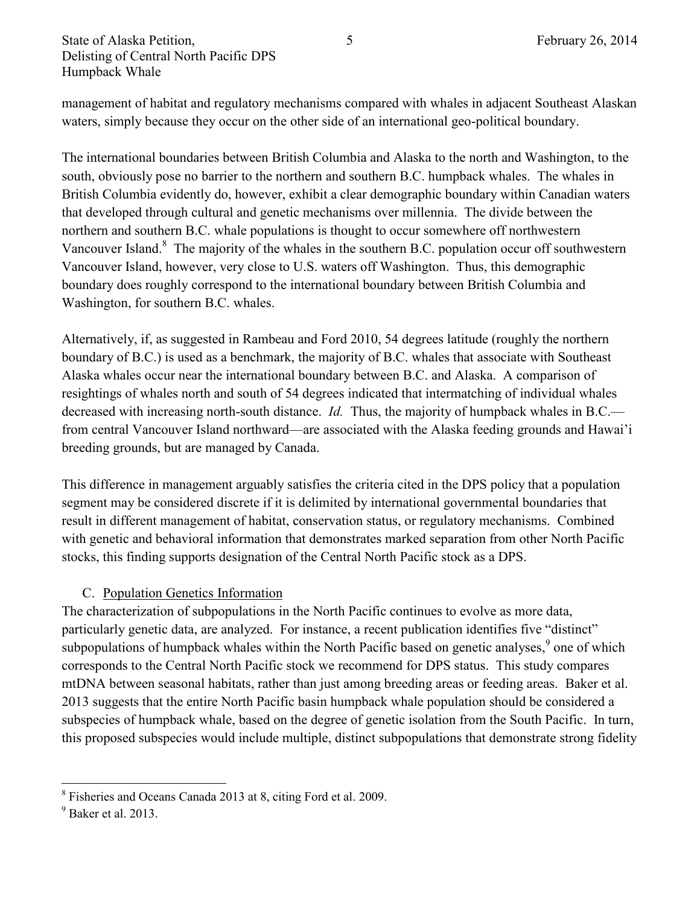management of habitat and regulatory mechanisms compared with whales in adjacent Southeast Alaskan waters, simply because they occur on the other side of an international geo-political boundary.

The international boundaries between British Columbia and Alaska to the north and Washington, to the south, obviously pose no barrier to the northern and southern B.C. humpback whales. The whales in British Columbia evidently do, however, exhibit a clear demographic boundary within Canadian waters that developed through cultural and genetic mechanisms over millennia. The divide between the northern and southern B.C. whale populations is thought to occur somewhere off northwestern Vancouver Island.<sup>8</sup> The majority of the whales in the southern B.C. population occur off southwestern Vancouver Island, however, very close to U.S. waters off Washington. Thus, this demographic boundary does roughly correspond to the international boundary between British Columbia and Washington, for southern B.C. whales.

Alternatively, if, as suggested in Rambeau and Ford 2010, 54 degrees latitude (roughly the northern boundary of B.C.) is used as a benchmark, the majority of B.C. whales that associate with Southeast Alaska whales occur near the international boundary between B.C. and Alaska. A comparison of resightings of whales north and south of 54 degrees indicated that intermatching of individual whales decreased with increasing north-south distance. *Id.* Thus, the majority of humpback whales in B.C. from central Vancouver Island northward—are associated with the Alaska feeding grounds and Hawai'i breeding grounds, but are managed by Canada.

This difference in management arguably satisfies the criteria cited in the DPS policy that a population segment may be considered discrete if it is delimited by international governmental boundaries that result in different management of habitat, conservation status, or regulatory mechanisms. Combined with genetic and behavioral information that demonstrates marked separation from other North Pacific stocks, this finding supports designation of the Central North Pacific stock as a DPS.

#### C. Population Genetics Information

The characterization of subpopulations in the North Pacific continues to evolve as more data, particularly genetic data, are analyzed. For instance, a recent publication identifies five "distinct" subpopulations of humpback whales within the North Pacific based on genetic analyses,  $9$  one of which corresponds to the Central North Pacific stock we recommend for DPS status. This study compares mtDNA between seasonal habitats, rather than just among breeding areas or feeding areas. Baker et al. 2013 suggests that the entire North Pacific basin humpback whale population should be considered a subspecies of humpback whale, based on the degree of genetic isolation from the South Pacific. In turn, this proposed subspecies would include multiple, distinct subpopulations that demonstrate strong fidelity

 $\overline{\phantom{a}}$ 8 Fisheries and Oceans Canada 2013 at 8, citing Ford et al. 2009.

 $9$  Baker et al. 2013.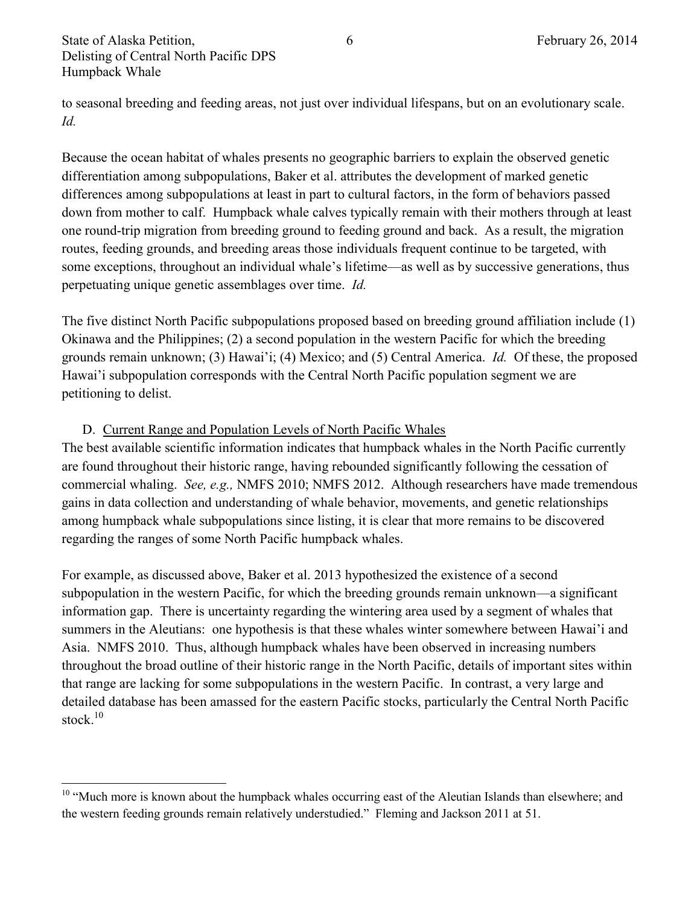$\overline{\phantom{a}}$ 

to seasonal breeding and feeding areas, not just over individual lifespans, but on an evolutionary scale. *Id.*

Because the ocean habitat of whales presents no geographic barriers to explain the observed genetic differentiation among subpopulations, Baker et al. attributes the development of marked genetic differences among subpopulations at least in part to cultural factors, in the form of behaviors passed down from mother to calf. Humpback whale calves typically remain with their mothers through at least one round-trip migration from breeding ground to feeding ground and back. As a result, the migration routes, feeding grounds, and breeding areas those individuals frequent continue to be targeted, with some exceptions, throughout an individual whale's lifetime—as well as by successive generations, thus perpetuating unique genetic assemblages over time. *Id.*

The five distinct North Pacific subpopulations proposed based on breeding ground affiliation include (1) Okinawa and the Philippines; (2) a second population in the western Pacific for which the breeding grounds remain unknown; (3) Hawai'i; (4) Mexico; and (5) Central America. *Id.* Of these, the proposed Hawai'i subpopulation corresponds with the Central North Pacific population segment we are petitioning to delist.

## D. Current Range and Population Levels of North Pacific Whales

The best available scientific information indicates that humpback whales in the North Pacific currently are found throughout their historic range, having rebounded significantly following the cessation of commercial whaling. *See, e.g.,* NMFS 2010; NMFS 2012. Although researchers have made tremendous gains in data collection and understanding of whale behavior, movements, and genetic relationships among humpback whale subpopulations since listing, it is clear that more remains to be discovered regarding the ranges of some North Pacific humpback whales.

For example, as discussed above, Baker et al. 2013 hypothesized the existence of a second subpopulation in the western Pacific, for which the breeding grounds remain unknown—a significant information gap. There is uncertainty regarding the wintering area used by a segment of whales that summers in the Aleutians: one hypothesis is that these whales winter somewhere between Hawai'i and Asia. NMFS 2010. Thus, although humpback whales have been observed in increasing numbers throughout the broad outline of their historic range in the North Pacific, details of important sites within that range are lacking for some subpopulations in the western Pacific. In contrast, a very large and detailed database has been amassed for the eastern Pacific stocks, particularly the Central North Pacific stock.<sup>10</sup>

<sup>&</sup>lt;sup>10</sup> "Much more is known about the humpback whales occurring east of the Aleutian Islands than elsewhere; and the western feeding grounds remain relatively understudied." Fleming and Jackson 2011 at 51.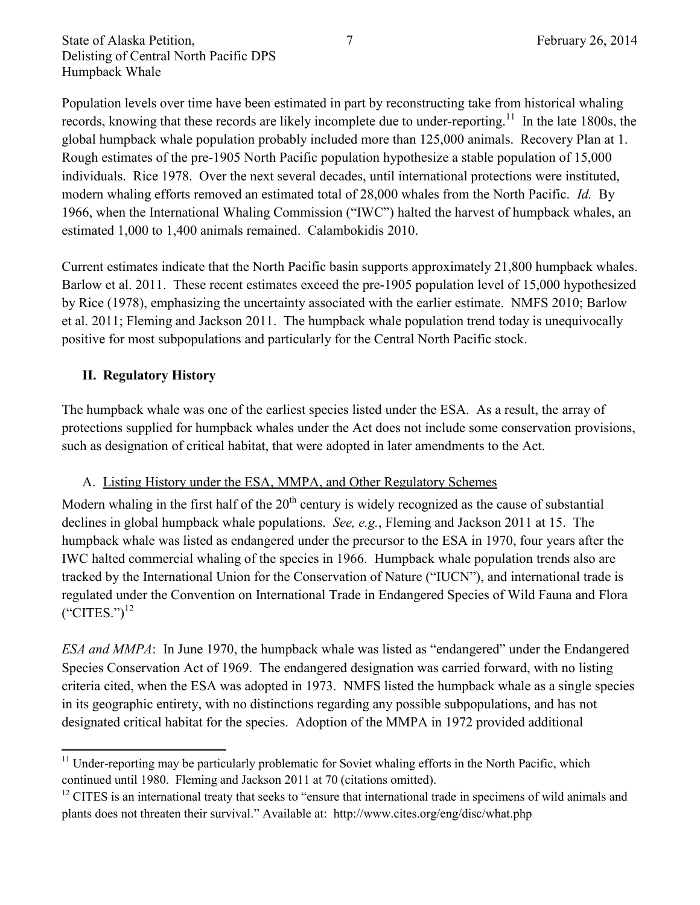Population levels over time have been estimated in part by reconstructing take from historical whaling records, knowing that these records are likely incomplete due to under-reporting.<sup>11</sup> In the late 1800s, the global humpback whale population probably included more than 125,000 animals. Recovery Plan at 1. Rough estimates of the pre-1905 North Pacific population hypothesize a stable population of 15,000 individuals. Rice 1978. Over the next several decades, until international protections were instituted, modern whaling efforts removed an estimated total of 28,000 whales from the North Pacific. *Id.* By 1966, when the International Whaling Commission ("IWC") halted the harvest of humpback whales, an estimated 1,000 to 1,400 animals remained. Calambokidis 2010.

Current estimates indicate that the North Pacific basin supports approximately 21,800 humpback whales. Barlow et al. 2011. These recent estimates exceed the pre-1905 population level of 15,000 hypothesized by Rice (1978), emphasizing the uncertainty associated with the earlier estimate. NMFS 2010; Barlow et al. 2011; Fleming and Jackson 2011. The humpback whale population trend today is unequivocally positive for most subpopulations and particularly for the Central North Pacific stock.

## **II. Regulatory History**

 $\overline{a}$ 

The humpback whale was one of the earliest species listed under the ESA. As a result, the array of protections supplied for humpback whales under the Act does not include some conservation provisions, such as designation of critical habitat, that were adopted in later amendments to the Act.

#### A. Listing History under the ESA, MMPA, and Other Regulatory Schemes

Modern whaling in the first half of the  $20<sup>th</sup>$  century is widely recognized as the cause of substantial declines in global humpback whale populations. *See, e.g.*, Fleming and Jackson 2011 at 15. The humpback whale was listed as endangered under the precursor to the ESA in 1970, four years after the IWC halted commercial whaling of the species in 1966. Humpback whale population trends also are tracked by the International Union for the Conservation of Nature ("IUCN"), and international trade is regulated under the Convention on International Trade in Endangered Species of Wild Fauna and Flora  $("CITIES." )^{12}$ 

*ESA and MMPA*: In June 1970, the humpback whale was listed as "endangered" under the Endangered Species Conservation Act of 1969. The endangered designation was carried forward, with no listing criteria cited, when the ESA was adopted in 1973. NMFS listed the humpback whale as a single species in its geographic entirety, with no distinctions regarding any possible subpopulations, and has not designated critical habitat for the species. Adoption of the MMPA in 1972 provided additional

 $11$  Under-reporting may be particularly problematic for Soviet whaling efforts in the North Pacific, which continued until 1980. Fleming and Jackson 2011 at 70 (citations omitted).

<sup>&</sup>lt;sup>12</sup> CITES is an international treaty that seeks to "ensure that international trade in specimens of wild animals and plants does not threaten their survival." Available at: http://www.cites.org/eng/disc/what.php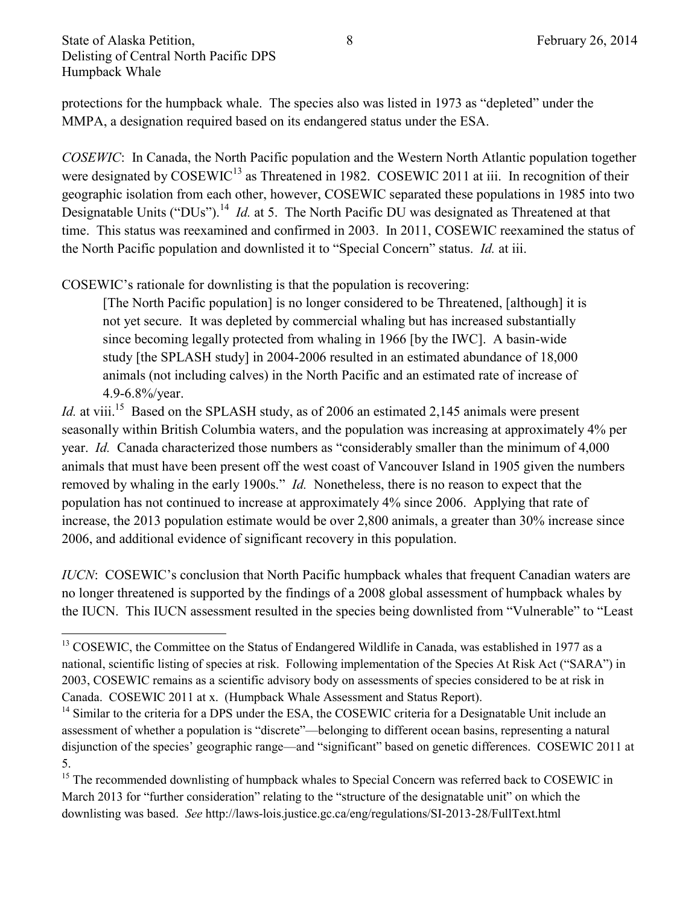protections for the humpback whale. The species also was listed in 1973 as "depleted" under the MMPA, a designation required based on its endangered status under the ESA.

*COSEWIC*: In Canada, the North Pacific population and the Western North Atlantic population together were designated by COSEWIC<sup>13</sup> as Threatened in 1982. COSEWIC 2011 at iii. In recognition of their geographic isolation from each other, however, COSEWIC separated these populations in 1985 into two Designatable Units ("DUs").<sup>14</sup> *Id.* at 5. The North Pacific DU was designated as Threatened at that time. This status was reexamined and confirmed in 2003. In 2011, COSEWIC reexamined the status of the North Pacific population and downlisted it to "Special Concern" status. *Id.* at iii.

COSEWIC's rationale for downlisting is that the population is recovering:

[The North Pacific population] is no longer considered to be Threatened, [although] it is not yet secure. It was depleted by commercial whaling but has increased substantially since becoming legally protected from whaling in 1966 [by the IWC]. A basin-wide study [the SPLASH study] in 2004-2006 resulted in an estimated abundance of 18,000 animals (not including calves) in the North Pacific and an estimated rate of increase of 4.9-6.8%/year.

*Id.* at viii.<sup>15</sup> Based on the SPLASH study, as of 2006 an estimated 2,145 animals were present seasonally within British Columbia waters, and the population was increasing at approximately 4% per year. *Id.* Canada characterized those numbers as "considerably smaller than the minimum of 4,000 animals that must have been present off the west coast of Vancouver Island in 1905 given the numbers removed by whaling in the early 1900s." *Id.* Nonetheless, there is no reason to expect that the population has not continued to increase at approximately 4% since 2006. Applying that rate of increase, the 2013 population estimate would be over 2,800 animals, a greater than 30% increase since 2006, and additional evidence of significant recovery in this population.

*IUCN*: COSEWIC's conclusion that North Pacific humpback whales that frequent Canadian waters are no longer threatened is supported by the findings of a 2008 global assessment of humpback whales by the IUCN. This IUCN assessment resulted in the species being downlisted from "Vulnerable" to "Least

 $\overline{\phantom{a}}$ <sup>13</sup> COSEWIC, the Committee on the Status of Endangered Wildlife in Canada, was established in 1977 as a national, scientific listing of species at risk. Following implementation of the Species At Risk Act ("SARA") in 2003, COSEWIC remains as a scientific advisory body on assessments of species considered to be at risk in Canada. COSEWIC 2011 at x. (Humpback Whale Assessment and Status Report).

<sup>&</sup>lt;sup>14</sup> Similar to the criteria for a DPS under the ESA, the COSEWIC criteria for a Designatable Unit include an assessment of whether a population is "discrete"—belonging to different ocean basins, representing a natural disjunction of the species' geographic range—and "significant" based on genetic differences. COSEWIC 2011 at 5.

<sup>&</sup>lt;sup>15</sup> The recommended downlisting of humpback whales to Special Concern was referred back to COSEWIC in March 2013 for "further consideration" relating to the "structure of the designatable unit" on which the downlisting was based. *See* http://laws-lois.justice.gc.ca/eng/regulations/SI-2013-28/FullText.html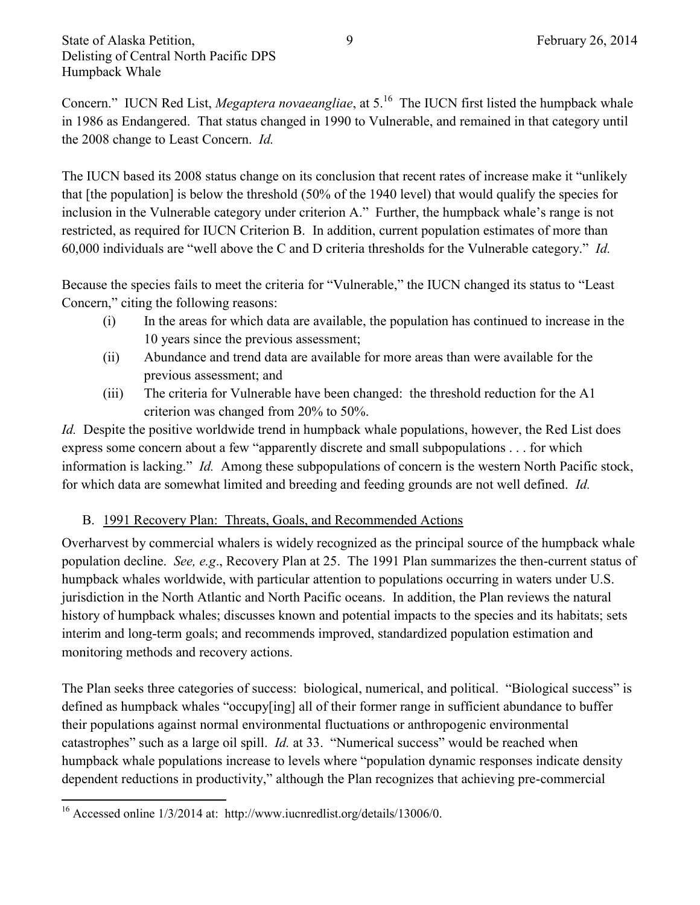Concern." IUCN Red List, *Megaptera novaeangliae*, at 5.<sup>16</sup> The IUCN first listed the humpback whale in 1986 as Endangered. That status changed in 1990 to Vulnerable, and remained in that category until the 2008 change to Least Concern. *Id.*

The IUCN based its 2008 status change on its conclusion that recent rates of increase make it "unlikely that [the population] is below the threshold (50% of the 1940 level) that would qualify the species for inclusion in the Vulnerable category under criterion A." Further, the humpback whale's range is not restricted, as required for IUCN Criterion B. In addition, current population estimates of more than 60,000 individuals are "well above the C and D criteria thresholds for the Vulnerable category." *Id.*

Because the species fails to meet the criteria for "Vulnerable," the IUCN changed its status to "Least Concern," citing the following reasons:

- (i) In the areas for which data are available, the population has continued to increase in the 10 years since the previous assessment;
- (ii) Abundance and trend data are available for more areas than were available for the previous assessment; and
- (iii) The criteria for Vulnerable have been changed: the threshold reduction for the A1 criterion was changed from 20% to 50%.

*Id.* Despite the positive worldwide trend in humpback whale populations, however, the Red List does express some concern about a few "apparently discrete and small subpopulations . . . for which information is lacking." *Id.* Among these subpopulations of concern is the western North Pacific stock, for which data are somewhat limited and breeding and feeding grounds are not well defined. *Id.*

## B. 1991 Recovery Plan: Threats, Goals, and Recommended Actions

Overharvest by commercial whalers is widely recognized as the principal source of the humpback whale population decline. *See, e.g*., Recovery Plan at 25. The 1991 Plan summarizes the then-current status of humpback whales worldwide, with particular attention to populations occurring in waters under U.S. jurisdiction in the North Atlantic and North Pacific oceans. In addition, the Plan reviews the natural history of humpback whales; discusses known and potential impacts to the species and its habitats; sets interim and long-term goals; and recommends improved, standardized population estimation and monitoring methods and recovery actions.

The Plan seeks three categories of success: biological, numerical, and political. "Biological success" is defined as humpback whales "occupy[ing] all of their former range in sufficient abundance to buffer their populations against normal environmental fluctuations or anthropogenic environmental catastrophes" such as a large oil spill. *Id.* at 33. "Numerical success" would be reached when humpback whale populations increase to levels where "population dynamic responses indicate density dependent reductions in productivity," although the Plan recognizes that achieving pre-commercial

 $\overline{\phantom{a}}$ <sup>16</sup> Accessed online 1/3/2014 at: http://www.iucnredlist.org/details/13006/0.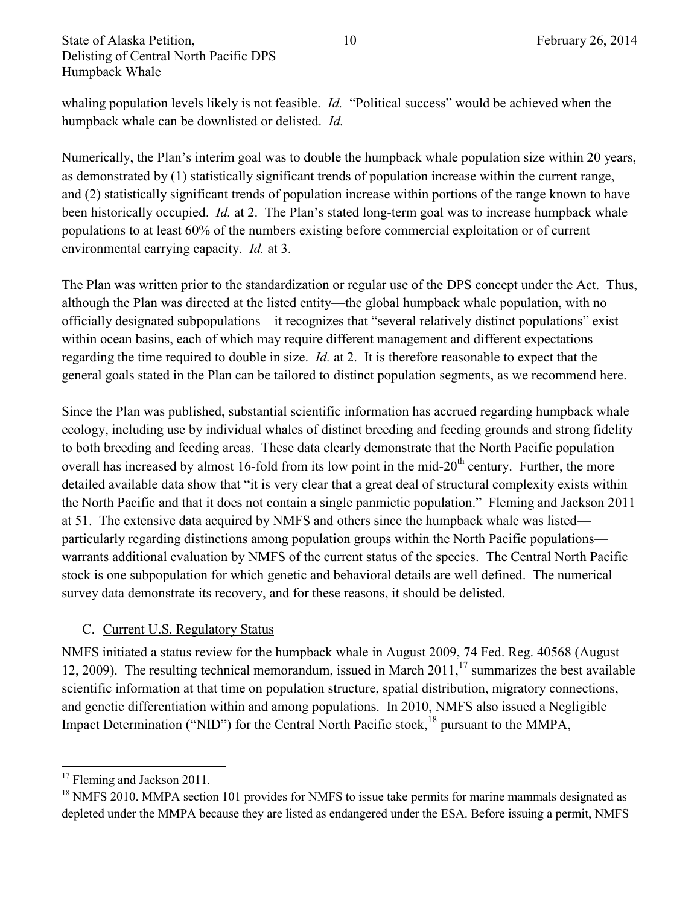State of Alaska Petition,  $10 \qquad 10 \qquad$  February 26, 2014 Delisting of Central North Pacific DPS Humpback Whale

whaling population levels likely is not feasible. *Id.* "Political success" would be achieved when the humpback whale can be downlisted or delisted. *Id.*

Numerically, the Plan's interim goal was to double the humpback whale population size within 20 years, as demonstrated by (1) statistically significant trends of population increase within the current range, and (2) statistically significant trends of population increase within portions of the range known to have been historically occupied. *Id.* at 2. The Plan's stated long-term goal was to increase humpback whale populations to at least 60% of the numbers existing before commercial exploitation or of current environmental carrying capacity. *Id.* at 3.

The Plan was written prior to the standardization or regular use of the DPS concept under the Act. Thus, although the Plan was directed at the listed entity—the global humpback whale population, with no officially designated subpopulations—it recognizes that "several relatively distinct populations" exist within ocean basins, each of which may require different management and different expectations regarding the time required to double in size. *Id.* at 2. It is therefore reasonable to expect that the general goals stated in the Plan can be tailored to distinct population segments, as we recommend here.

Since the Plan was published, substantial scientific information has accrued regarding humpback whale ecology, including use by individual whales of distinct breeding and feeding grounds and strong fidelity to both breeding and feeding areas. These data clearly demonstrate that the North Pacific population overall has increased by almost 16-fold from its low point in the mid-20<sup>th</sup> century. Further, the more detailed available data show that "it is very clear that a great deal of structural complexity exists within the North Pacific and that it does not contain a single panmictic population." Fleming and Jackson 2011 at 51. The extensive data acquired by NMFS and others since the humpback whale was listed particularly regarding distinctions among population groups within the North Pacific populations warrants additional evaluation by NMFS of the current status of the species. The Central North Pacific stock is one subpopulation for which genetic and behavioral details are well defined. The numerical survey data demonstrate its recovery, and for these reasons, it should be delisted.

## C. Current U.S. Regulatory Status

NMFS initiated a status review for the humpback whale in August 2009, 74 Fed. Reg. 40568 (August 12, 2009). The resulting technical memorandum, issued in March  $2011$ ,  $^{17}$  summarizes the best available scientific information at that time on population structure, spatial distribution, migratory connections, and genetic differentiation within and among populations. In 2010, NMFS also issued a Negligible Impact Determination ("NID") for the Central North Pacific stock,<sup>18</sup> pursuant to the MMPA,

 $\overline{\phantom{a}}$ <sup>17</sup> Fleming and Jackson 2011.

<sup>&</sup>lt;sup>18</sup> NMFS 2010. MMPA section 101 provides for NMFS to issue take permits for marine mammals designated as depleted under the MMPA because they are listed as endangered under the ESA. Before issuing a permit, NMFS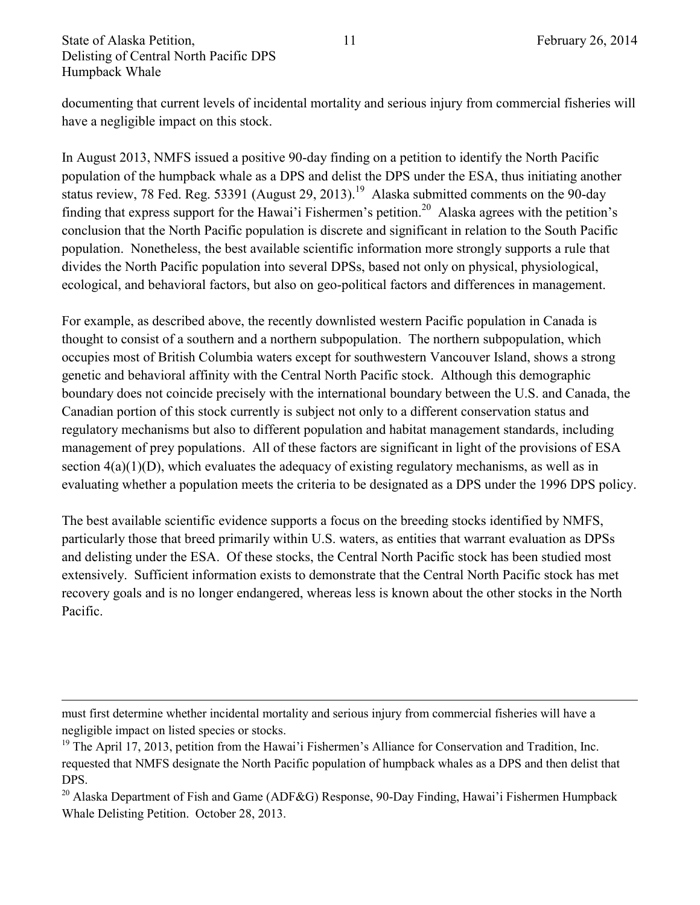State of Alaska Petition,  $11$  February 26, 2014 Delisting of Central North Pacific DPS Humpback Whale

 $\overline{\phantom{a}}$ 

documenting that current levels of incidental mortality and serious injury from commercial fisheries will have a negligible impact on this stock.

In August 2013, NMFS issued a positive 90-day finding on a petition to identify the North Pacific population of the humpback whale as a DPS and delist the DPS under the ESA, thus initiating another status review, 78 Fed. Reg. 53391 (August 29, 2013).<sup>19</sup> Alaska submitted comments on the 90-day finding that express support for the Hawai'i Fishermen's petition.<sup>20</sup> Alaska agrees with the petition's conclusion that the North Pacific population is discrete and significant in relation to the South Pacific population. Nonetheless, the best available scientific information more strongly supports a rule that divides the North Pacific population into several DPSs, based not only on physical, physiological, ecological, and behavioral factors, but also on geo-political factors and differences in management.

For example, as described above, the recently downlisted western Pacific population in Canada is thought to consist of a southern and a northern subpopulation. The northern subpopulation, which occupies most of British Columbia waters except for southwestern Vancouver Island, shows a strong genetic and behavioral affinity with the Central North Pacific stock. Although this demographic boundary does not coincide precisely with the international boundary between the U.S. and Canada, the Canadian portion of this stock currently is subject not only to a different conservation status and regulatory mechanisms but also to different population and habitat management standards, including management of prey populations. All of these factors are significant in light of the provisions of ESA section  $4(a)(1)(D)$ , which evaluates the adequacy of existing regulatory mechanisms, as well as in evaluating whether a population meets the criteria to be designated as a DPS under the 1996 DPS policy.

The best available scientific evidence supports a focus on the breeding stocks identified by NMFS, particularly those that breed primarily within U.S. waters, as entities that warrant evaluation as DPSs and delisting under the ESA. Of these stocks, the Central North Pacific stock has been studied most extensively. Sufficient information exists to demonstrate that the Central North Pacific stock has met recovery goals and is no longer endangered, whereas less is known about the other stocks in the North Pacific.

must first determine whether incidental mortality and serious injury from commercial fisheries will have a negligible impact on listed species or stocks.

<sup>&</sup>lt;sup>19</sup> The April 17, 2013, petition from the Hawai'i Fishermen's Alliance for Conservation and Tradition, Inc. requested that NMFS designate the North Pacific population of humpback whales as a DPS and then delist that DPS.

<sup>&</sup>lt;sup>20</sup> Alaska Department of Fish and Game (ADF&G) Response, 90-Day Finding, Hawai'i Fishermen Humpback Whale Delisting Petition. October 28, 2013.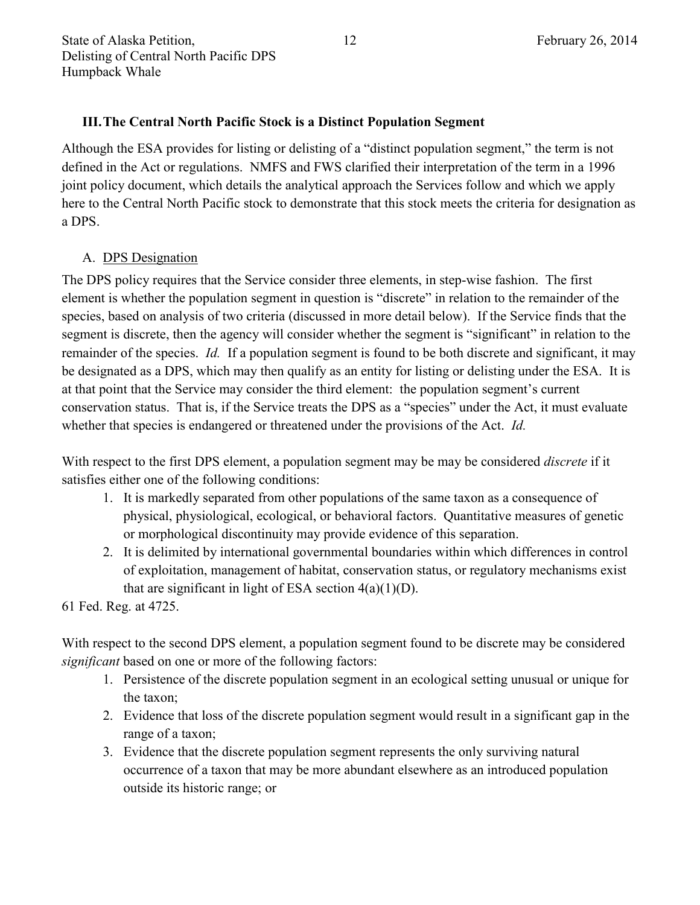#### **III.The Central North Pacific Stock is a Distinct Population Segment**

Although the ESA provides for listing or delisting of a "distinct population segment," the term is not defined in the Act or regulations. NMFS and FWS clarified their interpretation of the term in a 1996 joint policy document, which details the analytical approach the Services follow and which we apply here to the Central North Pacific stock to demonstrate that this stock meets the criteria for designation as a DPS.

#### A. DPS Designation

The DPS policy requires that the Service consider three elements, in step-wise fashion. The first element is whether the population segment in question is "discrete" in relation to the remainder of the species, based on analysis of two criteria (discussed in more detail below). If the Service finds that the segment is discrete, then the agency will consider whether the segment is "significant" in relation to the remainder of the species. *Id.* If a population segment is found to be both discrete and significant, it may be designated as a DPS, which may then qualify as an entity for listing or delisting under the ESA. It is at that point that the Service may consider the third element: the population segment's current conservation status. That is, if the Service treats the DPS as a "species" under the Act, it must evaluate whether that species is endangered or threatened under the provisions of the Act. *Id.* 

With respect to the first DPS element, a population segment may be may be considered *discrete* if it satisfies either one of the following conditions:

- 1. It is markedly separated from other populations of the same taxon as a consequence of physical, physiological, ecological, or behavioral factors. Quantitative measures of genetic or morphological discontinuity may provide evidence of this separation.
- 2. It is delimited by international governmental boundaries within which differences in control of exploitation, management of habitat, conservation status, or regulatory mechanisms exist that are significant in light of ESA section  $4(a)(1)(D)$ .

61 Fed. Reg. at 4725.

With respect to the second DPS element, a population segment found to be discrete may be considered *significant* based on one or more of the following factors:

- 1. Persistence of the discrete population segment in an ecological setting unusual or unique for the taxon;
- 2. Evidence that loss of the discrete population segment would result in a significant gap in the range of a taxon;
- 3. Evidence that the discrete population segment represents the only surviving natural occurrence of a taxon that may be more abundant elsewhere as an introduced population outside its historic range; or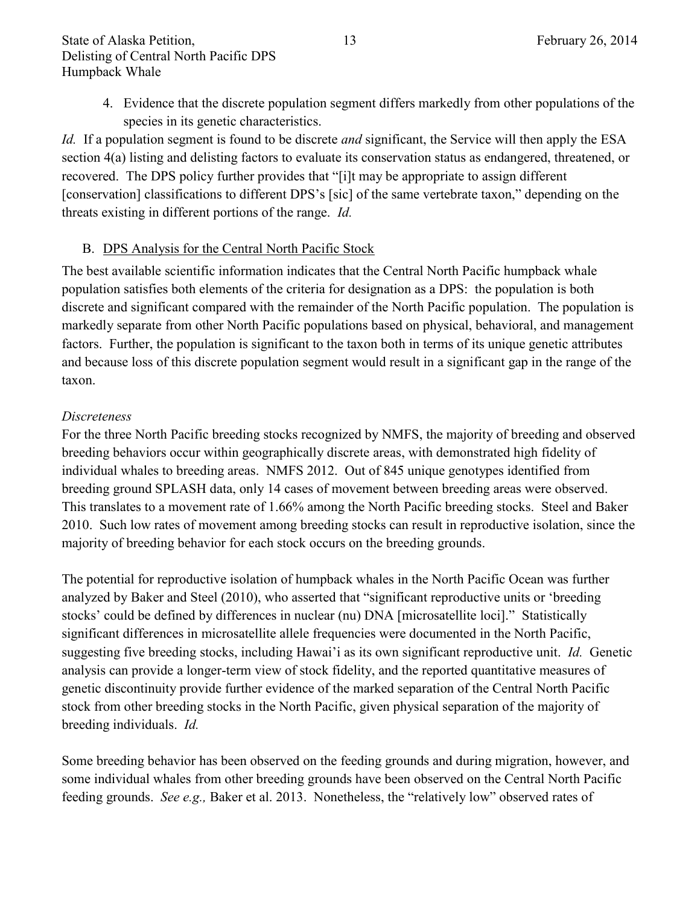4. Evidence that the discrete population segment differs markedly from other populations of the species in its genetic characteristics.

*Id.* If a population segment is found to be discrete *and* significant, the Service will then apply the ESA section 4(a) listing and delisting factors to evaluate its conservation status as endangered, threatened, or recovered. The DPS policy further provides that "[i]t may be appropriate to assign different [conservation] classifications to different DPS's [sic] of the same vertebrate taxon," depending on the threats existing in different portions of the range. *Id.*

#### B. DPS Analysis for the Central North Pacific Stock

The best available scientific information indicates that the Central North Pacific humpback whale population satisfies both elements of the criteria for designation as a DPS: the population is both discrete and significant compared with the remainder of the North Pacific population. The population is markedly separate from other North Pacific populations based on physical, behavioral, and management factors. Further, the population is significant to the taxon both in terms of its unique genetic attributes and because loss of this discrete population segment would result in a significant gap in the range of the taxon.

#### *Discreteness*

For the three North Pacific breeding stocks recognized by NMFS, the majority of breeding and observed breeding behaviors occur within geographically discrete areas, with demonstrated high fidelity of individual whales to breeding areas. NMFS 2012. Out of 845 unique genotypes identified from breeding ground SPLASH data, only 14 cases of movement between breeding areas were observed. This translates to a movement rate of 1.66% among the North Pacific breeding stocks. Steel and Baker 2010. Such low rates of movement among breeding stocks can result in reproductive isolation, since the majority of breeding behavior for each stock occurs on the breeding grounds.

The potential for reproductive isolation of humpback whales in the North Pacific Ocean was further analyzed by Baker and Steel (2010), who asserted that "significant reproductive units or 'breeding stocks' could be defined by differences in nuclear (nu) DNA [microsatellite loci]." Statistically significant differences in microsatellite allele frequencies were documented in the North Pacific, suggesting five breeding stocks, including Hawai'i as its own significant reproductive unit. *Id.* Genetic analysis can provide a longer-term view of stock fidelity, and the reported quantitative measures of genetic discontinuity provide further evidence of the marked separation of the Central North Pacific stock from other breeding stocks in the North Pacific, given physical separation of the majority of breeding individuals. *Id.*

Some breeding behavior has been observed on the feeding grounds and during migration, however, and some individual whales from other breeding grounds have been observed on the Central North Pacific feeding grounds. *See e.g.,* Baker et al. 2013. Nonetheless, the "relatively low" observed rates of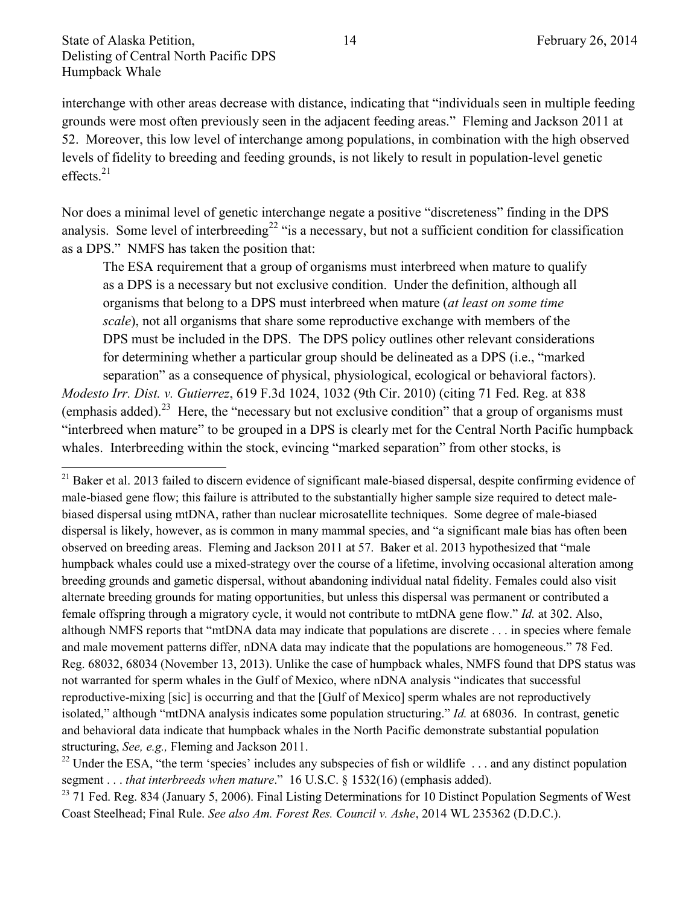$\overline{\phantom{a}}$ 

interchange with other areas decrease with distance, indicating that "individuals seen in multiple feeding grounds were most often previously seen in the adjacent feeding areas." Fleming and Jackson 2011 at 52. Moreover, this low level of interchange among populations, in combination with the high observed levels of fidelity to breeding and feeding grounds, is not likely to result in population-level genetic effects. $21$ 

Nor does a minimal level of genetic interchange negate a positive "discreteness" finding in the DPS analysis. Some level of interbreeding<sup>22</sup> "is a necessary, but not a sufficient condition for classification as a DPS." NMFS has taken the position that:

The ESA requirement that a group of organisms must interbreed when mature to qualify as a DPS is a necessary but not exclusive condition. Under the definition, although all organisms that belong to a DPS must interbreed when mature (*at least on some time scale*), not all organisms that share some reproductive exchange with members of the DPS must be included in the DPS. The DPS policy outlines other relevant considerations for determining whether a particular group should be delineated as a DPS (i.e., "marked separation" as a consequence of physical, physiological, ecological or behavioral factors).

*Modesto Irr. Dist. v. Gutierrez*, 619 F.3d 1024, 1032 (9th Cir. 2010) (citing 71 Fed. Reg. at 838 (emphasis added).<sup>23</sup> Here, the "necessary but not exclusive condition" that a group of organisms must "interbreed when mature" to be grouped in a DPS is clearly met for the Central North Pacific humpback whales. Interbreeding within the stock, evincing "marked separation" from other stocks, is

<sup>&</sup>lt;sup>21</sup> Baker et al. 2013 failed to discern evidence of significant male-biased dispersal, despite confirming evidence of male-biased gene flow; this failure is attributed to the substantially higher sample size required to detect malebiased dispersal using mtDNA, rather than nuclear microsatellite techniques. Some degree of male-biased dispersal is likely, however, as is common in many mammal species, and "a significant male bias has often been observed on breeding areas. Fleming and Jackson 2011 at 57. Baker et al. 2013 hypothesized that "male humpback whales could use a mixed-strategy over the course of a lifetime, involving occasional alteration among breeding grounds and gametic dispersal, without abandoning individual natal fidelity. Females could also visit alternate breeding grounds for mating opportunities, but unless this dispersal was permanent or contributed a female offspring through a migratory cycle, it would not contribute to mtDNA gene flow." *Id.* at 302. Also, although NMFS reports that "mtDNA data may indicate that populations are discrete . . . in species where female and male movement patterns differ, nDNA data may indicate that the populations are homogeneous." 78 Fed. Reg. 68032, 68034 (November 13, 2013). Unlike the case of humpback whales, NMFS found that DPS status was not warranted for sperm whales in the Gulf of Mexico, where nDNA analysis "indicates that successful reproductive-mixing [sic] is occurring and that the [Gulf of Mexico] sperm whales are not reproductively isolated," although "mtDNA analysis indicates some population structuring." *Id.* at 68036. In contrast, genetic and behavioral data indicate that humpback whales in the North Pacific demonstrate substantial population structuring, *See, e.g.,* Fleming and Jackson 2011.

<sup>&</sup>lt;sup>22</sup> Under the ESA, "the term 'species' includes any subspecies of fish or wildlife  $\dots$  and any distinct population segment . . . *that interbreeds when mature*." 16 U.S.C. § 1532(16) (emphasis added).

<sup>&</sup>lt;sup>23</sup> 71 Fed. Reg. 834 (January 5, 2006). Final Listing Determinations for 10 Distinct Population Segments of West Coast Steelhead; Final Rule. *See also Am. Forest Res. Council v. Ashe*, 2014 WL 235362 (D.D.C.).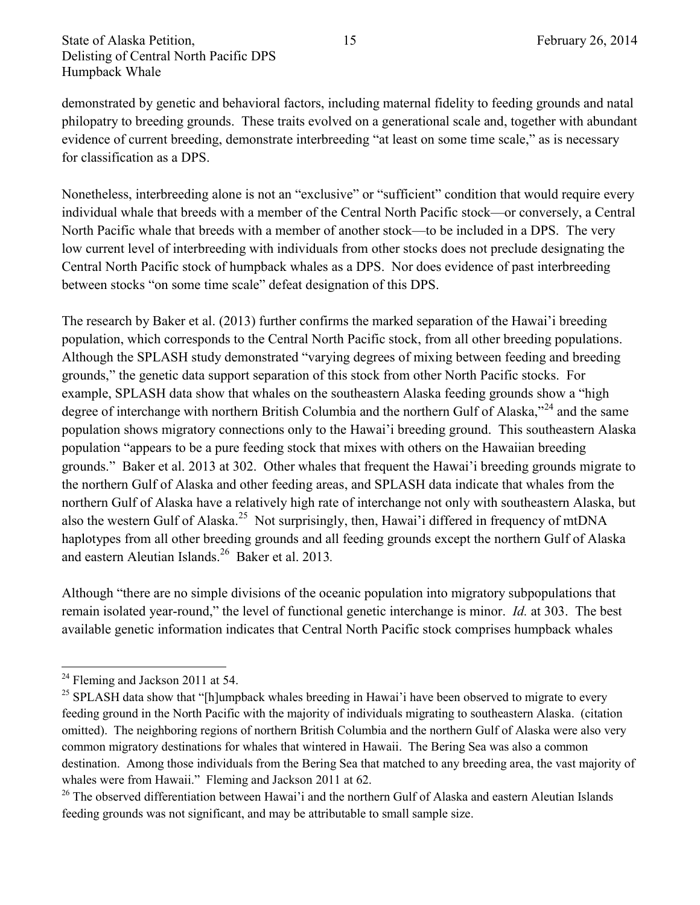demonstrated by genetic and behavioral factors, including maternal fidelity to feeding grounds and natal philopatry to breeding grounds. These traits evolved on a generational scale and, together with abundant evidence of current breeding, demonstrate interbreeding "at least on some time scale," as is necessary for classification as a DPS.

Nonetheless, interbreeding alone is not an "exclusive" or "sufficient" condition that would require every individual whale that breeds with a member of the Central North Pacific stock—or conversely, a Central North Pacific whale that breeds with a member of another stock—to be included in a DPS. The very low current level of interbreeding with individuals from other stocks does not preclude designating the Central North Pacific stock of humpback whales as a DPS. Nor does evidence of past interbreeding between stocks "on some time scale" defeat designation of this DPS.

The research by Baker et al. (2013) further confirms the marked separation of the Hawai'i breeding population, which corresponds to the Central North Pacific stock, from all other breeding populations. Although the SPLASH study demonstrated "varying degrees of mixing between feeding and breeding grounds," the genetic data support separation of this stock from other North Pacific stocks. For example, SPLASH data show that whales on the southeastern Alaska feeding grounds show a "high degree of interchange with northern British Columbia and the northern Gulf of Alaska,"<sup>24</sup> and the same population shows migratory connections only to the Hawai'i breeding ground. This southeastern Alaska population "appears to be a pure feeding stock that mixes with others on the Hawaiian breeding grounds." Baker et al. 2013 at 302. Other whales that frequent the Hawai'i breeding grounds migrate to the northern Gulf of Alaska and other feeding areas, and SPLASH data indicate that whales from the northern Gulf of Alaska have a relatively high rate of interchange not only with southeastern Alaska, but also the western Gulf of Alaska.<sup>25</sup> Not surprisingly, then, Hawai'i differed in frequency of mtDNA haplotypes from all other breeding grounds and all feeding grounds except the northern Gulf of Alaska and eastern Aleutian Islands.<sup>26</sup> Baker et al. 2013*.*

Although "there are no simple divisions of the oceanic population into migratory subpopulations that remain isolated year-round," the level of functional genetic interchange is minor. *Id.* at 303. The best available genetic information indicates that Central North Pacific stock comprises humpback whales

 $\overline{a}$ 

 $24$  Fleming and Jackson 2011 at 54.

<sup>&</sup>lt;sup>25</sup> SPLASH data show that "[h]umpback whales breeding in Hawai'i have been observed to migrate to every feeding ground in the North Pacific with the majority of individuals migrating to southeastern Alaska. (citation omitted). The neighboring regions of northern British Columbia and the northern Gulf of Alaska were also very common migratory destinations for whales that wintered in Hawaii. The Bering Sea was also a common destination. Among those individuals from the Bering Sea that matched to any breeding area, the vast majority of whales were from Hawaii." Fleming and Jackson 2011 at 62.

<sup>&</sup>lt;sup>26</sup> The observed differentiation between Hawai'i and the northern Gulf of Alaska and eastern Aleutian Islands feeding grounds was not significant, and may be attributable to small sample size.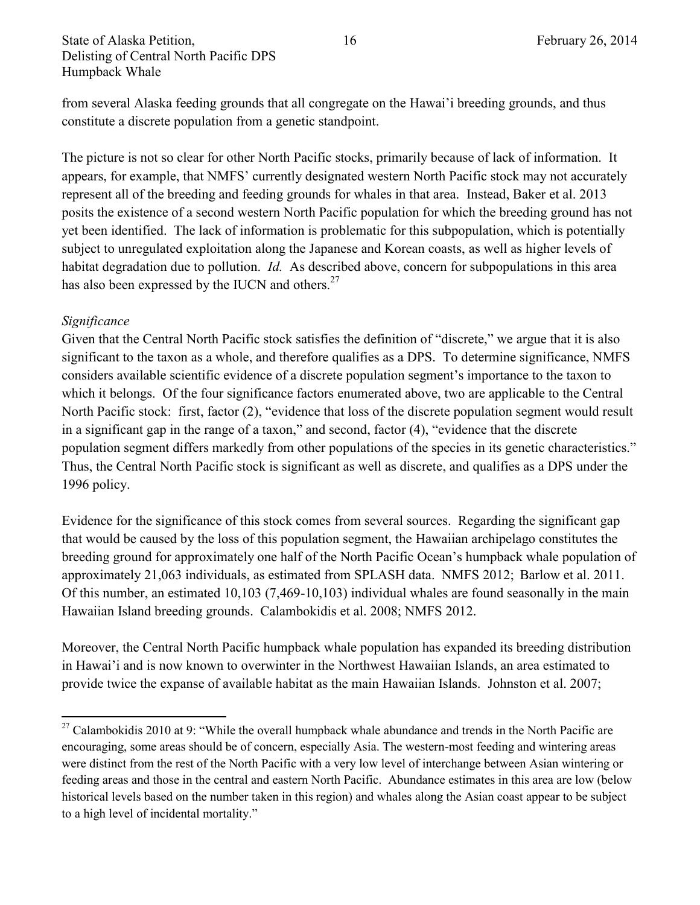from several Alaska feeding grounds that all congregate on the Hawai'i breeding grounds, and thus constitute a discrete population from a genetic standpoint.

The picture is not so clear for other North Pacific stocks, primarily because of lack of information. It appears, for example, that NMFS' currently designated western North Pacific stock may not accurately represent all of the breeding and feeding grounds for whales in that area. Instead, Baker et al. 2013 posits the existence of a second western North Pacific population for which the breeding ground has not yet been identified. The lack of information is problematic for this subpopulation, which is potentially subject to unregulated exploitation along the Japanese and Korean coasts, as well as higher levels of habitat degradation due to pollution. *Id.* As described above, concern for subpopulations in this area has also been expressed by the IUCN and others.<sup>27</sup>

#### *Significance*

 $\overline{\phantom{a}}$ 

Given that the Central North Pacific stock satisfies the definition of "discrete," we argue that it is also significant to the taxon as a whole, and therefore qualifies as a DPS. To determine significance, NMFS considers available scientific evidence of a discrete population segment's importance to the taxon to which it belongs. Of the four significance factors enumerated above, two are applicable to the Central North Pacific stock: first, factor (2), "evidence that loss of the discrete population segment would result in a significant gap in the range of a taxon," and second, factor (4), "evidence that the discrete population segment differs markedly from other populations of the species in its genetic characteristics." Thus, the Central North Pacific stock is significant as well as discrete, and qualifies as a DPS under the 1996 policy.

Evidence for the significance of this stock comes from several sources. Regarding the significant gap that would be caused by the loss of this population segment, the Hawaiian archipelago constitutes the breeding ground for approximately one half of the North Pacific Ocean's humpback whale population of approximately 21,063 individuals, as estimated from SPLASH data. NMFS 2012; Barlow et al. 2011. Of this number, an estimated 10,103 (7,469-10,103) individual whales are found seasonally in the main Hawaiian Island breeding grounds. Calambokidis et al. 2008; NMFS 2012.

Moreover, the Central North Pacific humpback whale population has expanded its breeding distribution in Hawai'i and is now known to overwinter in the Northwest Hawaiian Islands, an area estimated to provide twice the expanse of available habitat as the main Hawaiian Islands. Johnston et al. 2007;

 $27$  Calambokidis 2010 at 9: "While the overall humpback whale abundance and trends in the North Pacific are encouraging, some areas should be of concern, especially Asia. The western-most feeding and wintering areas were distinct from the rest of the North Pacific with a very low level of interchange between Asian wintering or feeding areas and those in the central and eastern North Pacific. Abundance estimates in this area are low (below historical levels based on the number taken in this region) and whales along the Asian coast appear to be subject to a high level of incidental mortality."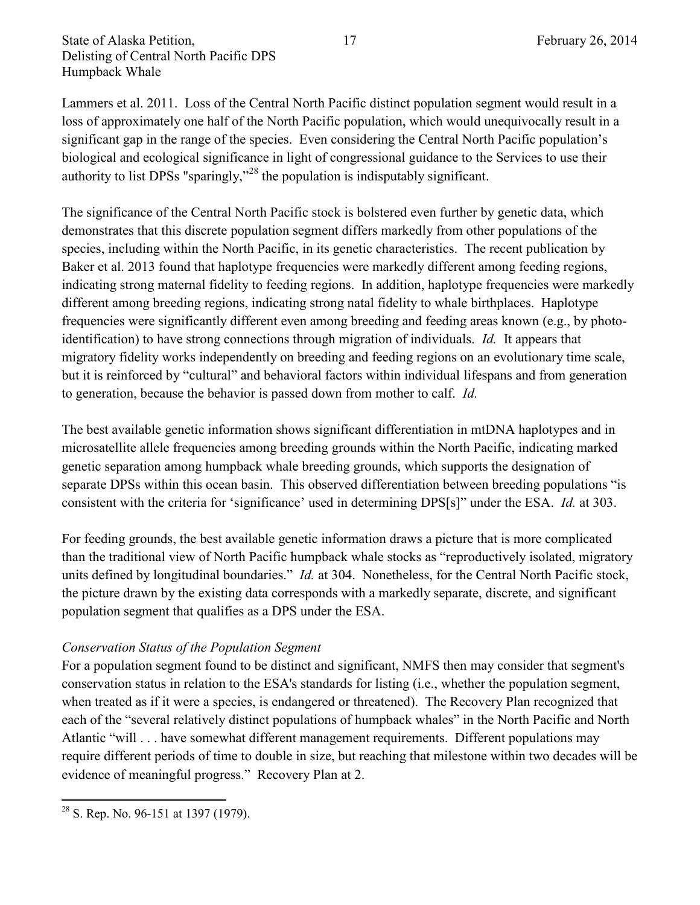Lammers et al. 2011. Loss of the Central North Pacific distinct population segment would result in a loss of approximately one half of the North Pacific population, which would unequivocally result in a significant gap in the range of the species. Even considering the Central North Pacific population's biological and ecological significance in light of congressional guidance to the Services to use their authority to list DPSs "sparingly,"<sup>28</sup> the population is indisputably significant.

The significance of the Central North Pacific stock is bolstered even further by genetic data, which demonstrates that this discrete population segment differs markedly from other populations of the species, including within the North Pacific, in its genetic characteristics. The recent publication by Baker et al. 2013 found that haplotype frequencies were markedly different among feeding regions, indicating strong maternal fidelity to feeding regions. In addition, haplotype frequencies were markedly different among breeding regions, indicating strong natal fidelity to whale birthplaces. Haplotype frequencies were significantly different even among breeding and feeding areas known (e.g., by photoidentification) to have strong connections through migration of individuals. *Id.* It appears that migratory fidelity works independently on breeding and feeding regions on an evolutionary time scale, but it is reinforced by "cultural" and behavioral factors within individual lifespans and from generation to generation, because the behavior is passed down from mother to calf. *Id.*

The best available genetic information shows significant differentiation in mtDNA haplotypes and in microsatellite allele frequencies among breeding grounds within the North Pacific, indicating marked genetic separation among humpback whale breeding grounds, which supports the designation of separate DPSs within this ocean basin. This observed differentiation between breeding populations "is consistent with the criteria for 'significance' used in determining DPS[s]" under the ESA. *Id.* at 303.

For feeding grounds, the best available genetic information draws a picture that is more complicated than the traditional view of North Pacific humpback whale stocks as "reproductively isolated, migratory units defined by longitudinal boundaries." *Id.* at 304. Nonetheless, for the Central North Pacific stock, the picture drawn by the existing data corresponds with a markedly separate, discrete, and significant population segment that qualifies as a DPS under the ESA.

#### *Conservation Status of the Population Segment*

For a population segment found to be distinct and significant, NMFS then may consider that segment's conservation status in relation to the ESA's standards for listing (i.e., whether the population segment, when treated as if it were a species, is endangered or threatened). The Recovery Plan recognized that each of the "several relatively distinct populations of humpback whales" in the North Pacific and North Atlantic "will . . . have somewhat different management requirements. Different populations may require different periods of time to double in size, but reaching that milestone within two decades will be evidence of meaningful progress." Recovery Plan at 2.

 $\overline{\phantom{a}}$  $2^8$  S. Rep. No. 96-151 at 1397 (1979).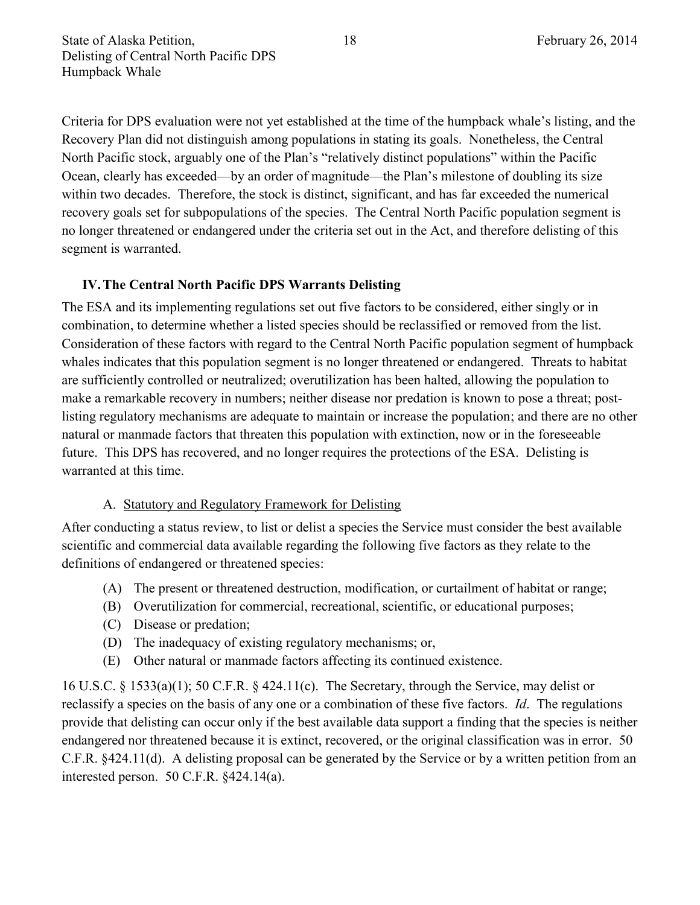Criteria for DPS evaluation were not yet established at the time of the humpback whale's listing, and the Recovery Plan did not distinguish among populations in stating its goals. Nonetheless, the Central North Pacific stock, arguably one of the Plan's "relatively distinct populations" within the Pacific Ocean, clearly has exceeded—by an order of magnitude—the Plan's milestone of doubling its size within two decades. Therefore, the stock is distinct, significant, and has far exceeded the numerical recovery goals set for subpopulations of the species. The Central North Pacific population segment is no longer threatened or endangered under the criteria set out in the Act, and therefore delisting of this segment is warranted.

## **IV.The Central North Pacific DPS Warrants Delisting**

The ESA and its implementing regulations set out five factors to be considered, either singly or in combination, to determine whether a listed species should be reclassified or removed from the list. Consideration of these factors with regard to the Central North Pacific population segment of humpback whales indicates that this population segment is no longer threatened or endangered. Threats to habitat are sufficiently controlled or neutralized; overutilization has been halted, allowing the population to make a remarkable recovery in numbers; neither disease nor predation is known to pose a threat; postlisting regulatory mechanisms are adequate to maintain or increase the population; and there are no other natural or manmade factors that threaten this population with extinction, now or in the foreseeable future. This DPS has recovered, and no longer requires the protections of the ESA. Delisting is warranted at this time.

#### A. Statutory and Regulatory Framework for Delisting

After conducting a status review, to list or delist a species the Service must consider the best available scientific and commercial data available regarding the following five factors as they relate to the definitions of endangered or threatened species:

- (A) The present or threatened destruction, modification, or curtailment of habitat or range;
- (B) Overutilization for commercial, recreational, scientific, or educational purposes;
- (C) Disease or predation;
- (D) The inadequacy of existing regulatory mechanisms; or,
- (E) Other natural or manmade factors affecting its continued existence.

16 U.S.C. § 1533(a)(1); 50 C.F.R. § 424.11(c). The Secretary, through the Service, may delist or reclassify a species on the basis of any one or a combination of these five factors. *Id*. The regulations provide that delisting can occur only if the best available data support a finding that the species is neither endangered nor threatened because it is extinct, recovered, or the original classification was in error. 50 C.F.R. §424.11(d). A delisting proposal can be generated by the Service or by a written petition from an interested person. 50 C.F.R. §424.14(a).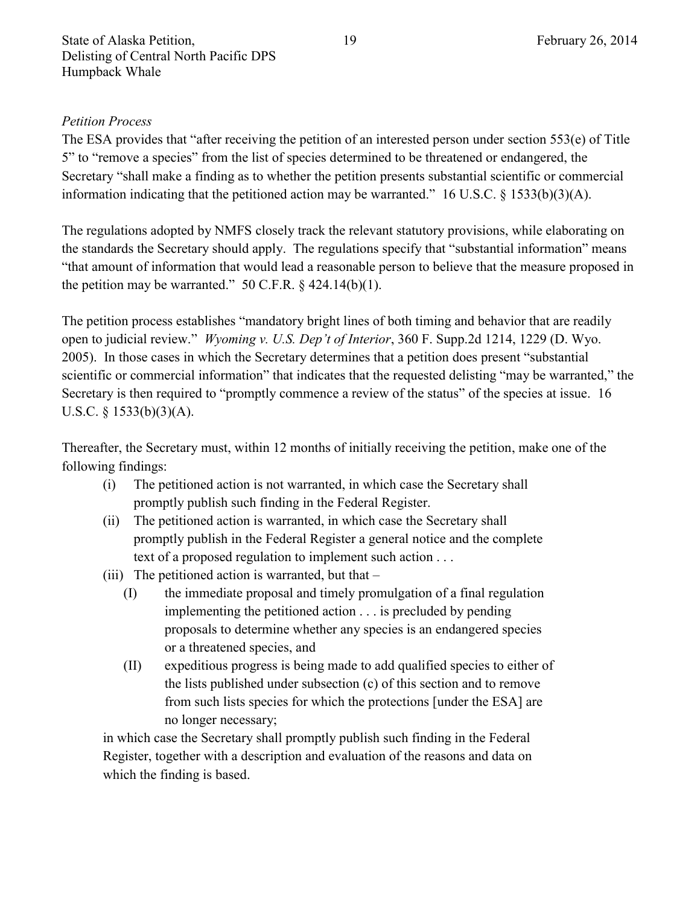## *Petition Process*

The ESA provides that "after receiving the petition of an interested person under section 553(e) of Title 5" to "remove a species" from the list of species determined to be threatened or endangered, the Secretary "shall make a finding as to whether the petition presents substantial scientific or commercial information indicating that the petitioned action may be warranted." 16 U.S.C. § 1533(b)(3)(A).

The regulations adopted by NMFS closely track the relevant statutory provisions, while elaborating on the standards the Secretary should apply. The regulations specify that "substantial information" means "that amount of information that would lead a reasonable person to believe that the measure proposed in the petition may be warranted." 50 C.F.R.  $\S$  424.14(b)(1).

The petition process establishes "mandatory bright lines of both timing and behavior that are readily open to judicial review." *Wyoming v. U.S. Dep't of Interior*, 360 F. Supp.2d 1214, 1229 (D. Wyo. 2005). In those cases in which the Secretary determines that a petition does present "substantial scientific or commercial information" that indicates that the requested delisting "may be warranted," the Secretary is then required to "promptly commence a review of the status" of the species at issue. 16 U.S.C. § 1533(b)(3)(A).

Thereafter, the Secretary must, within 12 months of initially receiving the petition, make one of the following findings:

- (i) The petitioned action is not warranted, in which case the Secretary shall promptly publish such finding in the Federal Register.
- (ii) The petitioned action is warranted, in which case the Secretary shall promptly publish in the Federal Register a general notice and the complete text of a proposed regulation to implement such action . . .
- (iii) The petitioned action is warranted, but that
	- (I) the immediate proposal and timely promulgation of a final regulation implementing the petitioned action . . . is precluded by pending proposals to determine whether any species is an endangered species or a threatened species, and
	- (II) expeditious progress is being made to add qualified species to either of the lists published under subsection (c) of this section and to remove from such lists species for which the protections [under the ESA] are no longer necessary;

in which case the Secretary shall promptly publish such finding in the Federal Register, together with a description and evaluation of the reasons and data on which the finding is based.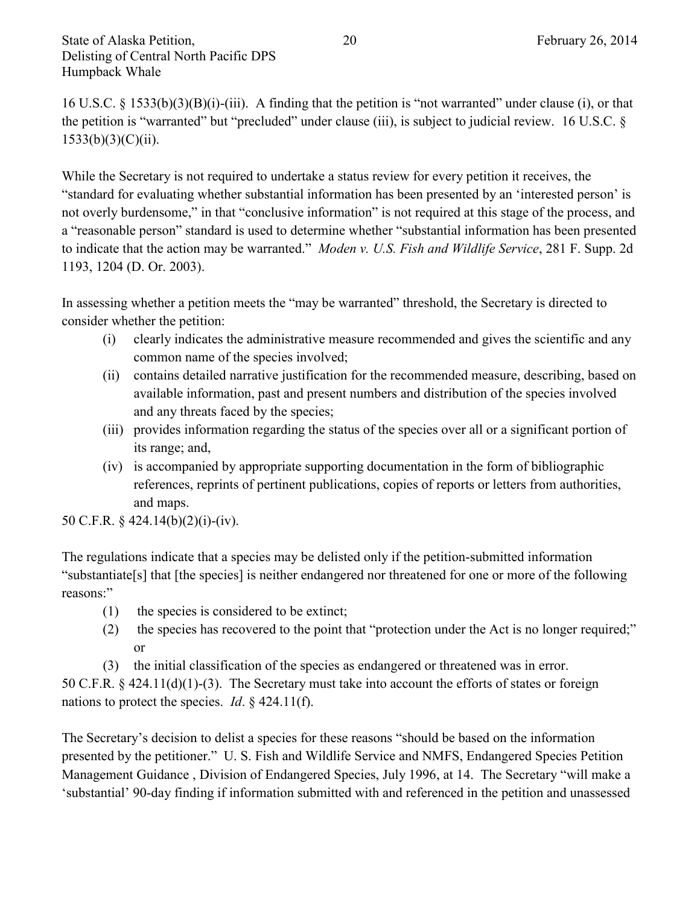16 U.S.C. § 1533(b)(3)(B)(i)-(iii). A finding that the petition is "not warranted" under clause (i), or that the petition is "warranted" but "precluded" under clause (iii), is subject to judicial review. 16 U.S.C. §  $1533(b)(3)(C)(ii)$ .

While the Secretary is not required to undertake a status review for every petition it receives, the "standard for evaluating whether substantial information has been presented by an 'interested person' is not overly burdensome," in that "conclusive information" is not required at this stage of the process, and a "reasonable person" standard is used to determine whether "substantial information has been presented to indicate that the action may be warranted." *Moden v. U.S. Fish and Wildlife Service*, 281 F. Supp. 2d 1193, 1204 (D. Or. 2003).

In assessing whether a petition meets the "may be warranted" threshold, the Secretary is directed to consider whether the petition:

- (i) clearly indicates the administrative measure recommended and gives the scientific and any common name of the species involved;
- (ii) contains detailed narrative justification for the recommended measure, describing, based on available information, past and present numbers and distribution of the species involved and any threats faced by the species;
- (iii) provides information regarding the status of the species over all or a significant portion of its range; and,
- (iv) is accompanied by appropriate supporting documentation in the form of bibliographic references, reprints of pertinent publications, copies of reports or letters from authorities, and maps.

50 C.F.R. § 424.14(b)(2)(i)-(iv).

The regulations indicate that a species may be delisted only if the petition-submitted information "substantiate[s] that [the species] is neither endangered nor threatened for one or more of the following reasons:"

- (1) the species is considered to be extinct;
- (2) the species has recovered to the point that "protection under the Act is no longer required;" or
- (3) the initial classification of the species as endangered or threatened was in error.

50 C.F.R. § 424.11(d)(1)-(3). The Secretary must take into account the efforts of states or foreign nations to protect the species. *Id*. § 424.11(f).

The Secretary's decision to delist a species for these reasons "should be based on the information presented by the petitioner." U. S. Fish and Wildlife Service and NMFS, Endangered Species Petition Management Guidance , Division of Endangered Species, July 1996, at 14. The Secretary "will make a 'substantial' 90-day finding if information submitted with and referenced in the petition and unassessed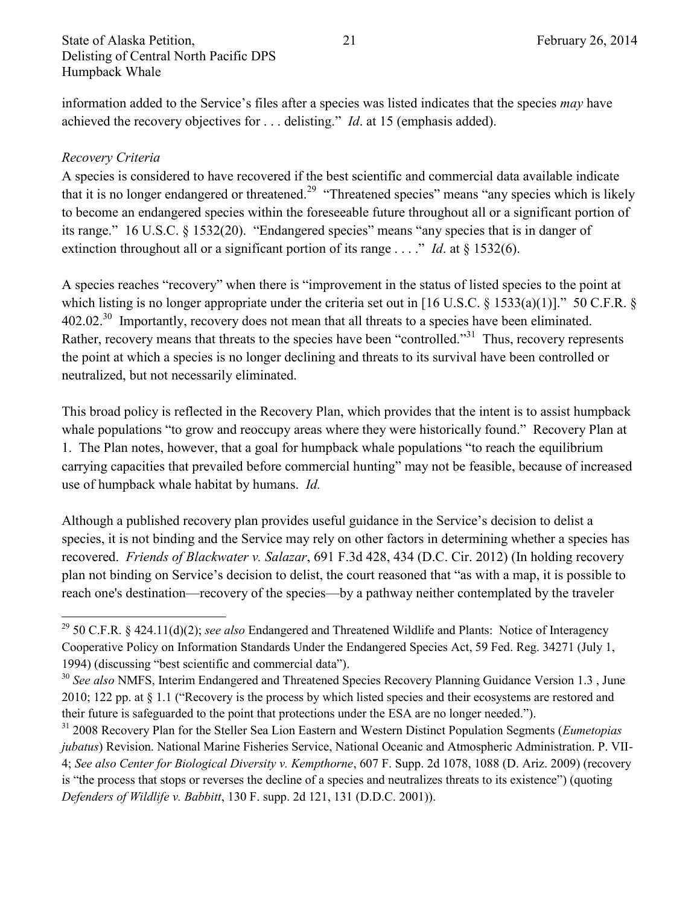information added to the Service's files after a species was listed indicates that the species *may* have achieved the recovery objectives for . . . delisting." *Id*. at 15 (emphasis added).

#### *Recovery Criteria*

 $\overline{\phantom{a}}$ 

A species is considered to have recovered if the best scientific and commercial data available indicate that it is no longer endangered or threatened.<sup>29</sup> "Threatened species" means "any species which is likely to become an endangered species within the foreseeable future throughout all or a significant portion of its range." 16 U.S.C. § 1532(20). "Endangered species" means "any species that is in danger of extinction throughout all or a significant portion of its range . . . ." *Id.* at § 1532(6).

A species reaches "recovery" when there is "improvement in the status of listed species to the point at which listing is no longer appropriate under the criteria set out in [16 U.S.C. § 1533(a)(1)]." 50 C.F.R. § 402.02.<sup>30</sup> Importantly, recovery does not mean that all threats to a species have been eliminated. Rather, recovery means that threats to the species have been "controlled."<sup>31</sup> Thus, recovery represents the point at which a species is no longer declining and threats to its survival have been controlled or neutralized, but not necessarily eliminated.

This broad policy is reflected in the Recovery Plan, which provides that the intent is to assist humpback whale populations "to grow and reoccupy areas where they were historically found." Recovery Plan at 1. The Plan notes, however, that a goal for humpback whale populations "to reach the equilibrium carrying capacities that prevailed before commercial hunting" may not be feasible, because of increased use of humpback whale habitat by humans. *Id.*

Although a published recovery plan provides useful guidance in the Service's decision to delist a species, it is not binding and the Service may rely on other factors in determining whether a species has recovered. *Friends of Blackwater v. Salazar*, 691 F.3d 428, 434 (D.C. Cir. 2012) (In holding recovery plan not binding on Service's decision to delist, the court reasoned that "as with a map, it is possible to reach one's destination—recovery of the species—by a pathway neither contemplated by the traveler

<sup>29</sup> 50 C.F.R. § 424.11(d)(2); *see also* Endangered and Threatened Wildlife and Plants: Notice of Interagency Cooperative Policy on Information Standards Under the Endangered Species Act, 59 Fed. Reg. 34271 (July 1, 1994) (discussing "best scientific and commercial data").

<sup>&</sup>lt;sup>30</sup> See also NMFS, Interim Endangered and Threatened Species Recovery Planning Guidance Version 1.3, June 2010; 122 pp. at § 1.1 ("Recovery is the process by which listed species and their ecosystems are restored and their future is safeguarded to the point that protections under the ESA are no longer needed.").

<sup>31</sup> 2008 Recovery Plan for the Steller Sea Lion Eastern and Western Distinct Population Segments (*Eumetopias jubatus*) Revision. National Marine Fisheries Service, National Oceanic and Atmospheric Administration. P. VII-4; *See also Center for Biological Diversity v. Kempthorne*, 607 F. Supp. 2d 1078, 1088 (D. Ariz. 2009) (recovery

is "the process that stops or reverses the decline of a species and neutralizes threats to its existence") (quoting *Defenders of Wildlife v. Babbitt*, 130 F. supp. 2d 121, 131 (D.D.C. 2001)).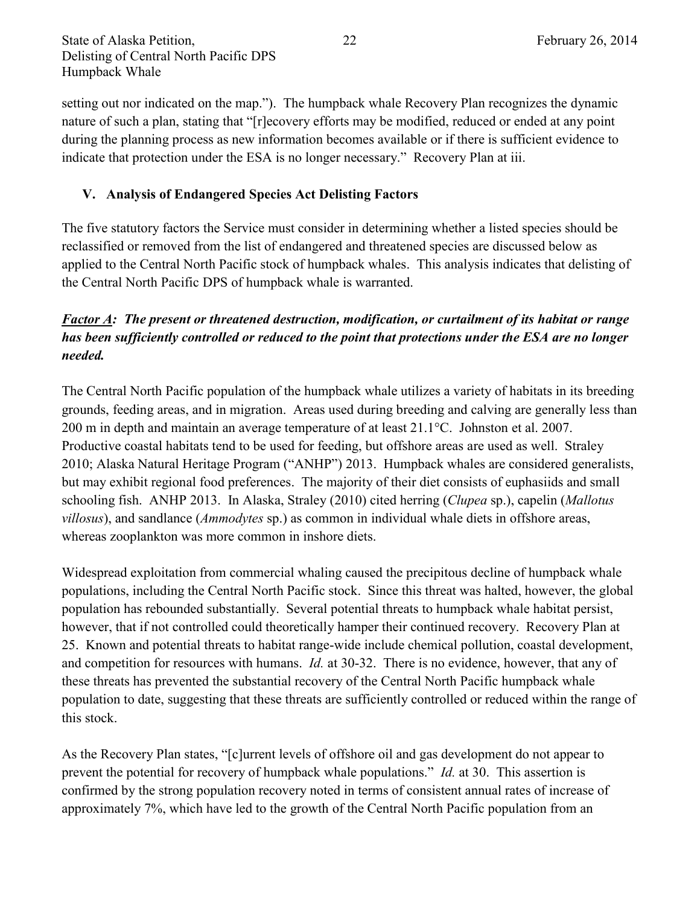State of Alaska Petition, 22 February 26, 2014 Delisting of Central North Pacific DPS Humpback Whale

setting out nor indicated on the map."). The humpback whale Recovery Plan recognizes the dynamic nature of such a plan, stating that "[r]ecovery efforts may be modified, reduced or ended at any point during the planning process as new information becomes available or if there is sufficient evidence to indicate that protection under the ESA is no longer necessary." Recovery Plan at iii.

## **V. Analysis of Endangered Species Act Delisting Factors**

The five statutory factors the Service must consider in determining whether a listed species should be reclassified or removed from the list of endangered and threatened species are discussed below as applied to the Central North Pacific stock of humpback whales. This analysis indicates that delisting of the Central North Pacific DPS of humpback whale is warranted.

## *Factor A: The present or threatened destruction, modification, or curtailment of its habitat or range has been sufficiently controlled or reduced to the point that protections under the ESA are no longer needed.*

The Central North Pacific population of the humpback whale utilizes a variety of habitats in its breeding grounds, feeding areas, and in migration. Areas used during breeding and calving are generally less than 200 m in depth and maintain an average temperature of at least 21.1°C. Johnston et al. 2007. Productive coastal habitats tend to be used for feeding, but offshore areas are used as well. Straley 2010; Alaska Natural Heritage Program ("ANHP") 2013. Humpback whales are considered generalists, but may exhibit regional food preferences. The majority of their diet consists of euphasiids and small schooling fish. ANHP 2013. In Alaska, Straley (2010) cited herring (*Clupea* sp.), capelin (*Mallotus villosus*), and sandlance (*Ammodytes* sp.) as common in individual whale diets in offshore areas, whereas zooplankton was more common in inshore diets.

Widespread exploitation from commercial whaling caused the precipitous decline of humpback whale populations, including the Central North Pacific stock. Since this threat was halted, however, the global population has rebounded substantially. Several potential threats to humpback whale habitat persist, however, that if not controlled could theoretically hamper their continued recovery. Recovery Plan at 25. Known and potential threats to habitat range-wide include chemical pollution, coastal development, and competition for resources with humans. *Id.* at 30-32. There is no evidence, however, that any of these threats has prevented the substantial recovery of the Central North Pacific humpback whale population to date, suggesting that these threats are sufficiently controlled or reduced within the range of this stock.

As the Recovery Plan states, "[c]urrent levels of offshore oil and gas development do not appear to prevent the potential for recovery of humpback whale populations." *Id.* at 30. This assertion is confirmed by the strong population recovery noted in terms of consistent annual rates of increase of approximately 7%, which have led to the growth of the Central North Pacific population from an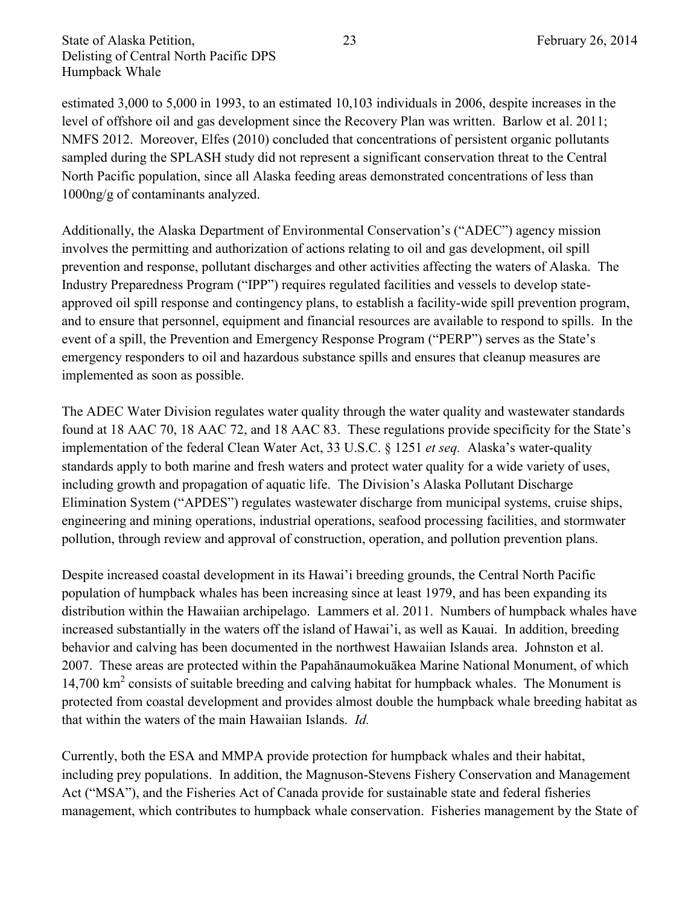estimated 3,000 to 5,000 in 1993, to an estimated 10,103 individuals in 2006, despite increases in the level of offshore oil and gas development since the Recovery Plan was written. Barlow et al. 2011; NMFS 2012. Moreover, Elfes (2010) concluded that concentrations of persistent organic pollutants sampled during the SPLASH study did not represent a significant conservation threat to the Central North Pacific population, since all Alaska feeding areas demonstrated concentrations of less than 1000ng/g of contaminants analyzed.

Additionally, the Alaska Department of Environmental Conservation's ("ADEC") agency mission involves the permitting and authorization of actions relating to oil and gas development, oil spill prevention and response, pollutant discharges and other activities affecting the waters of Alaska. The Industry Preparedness Program ("IPP") requires regulated facilities and vessels to develop stateapproved oil spill response and contingency plans, to establish a facility-wide spill prevention program, and to ensure that personnel, equipment and financial resources are available to respond to spills. In the event of a spill, the Prevention and Emergency Response Program ("PERP") serves as the State's emergency responders to oil and hazardous substance spills and ensures that cleanup measures are implemented as soon as possible.

The ADEC Water Division regulates water quality through the water quality and wastewater standards found at 18 AAC 70, 18 AAC 72, and 18 AAC 83. These regulations provide specificity for the State's implementation of the federal Clean Water Act, 33 U.S.C. § 1251 *et seq.* Alaska's water-quality standards apply to both marine and fresh waters and protect water quality for a wide variety of uses, including growth and propagation of aquatic life. The Division's Alaska Pollutant Discharge Elimination System ("APDES") regulates wastewater discharge from municipal systems, cruise ships, engineering and mining operations, industrial operations, seafood processing facilities, and stormwater pollution, through review and approval of construction, operation, and pollution prevention plans.

Despite increased coastal development in its Hawai'i breeding grounds, the Central North Pacific population of humpback whales has been increasing since at least 1979, and has been expanding its distribution within the Hawaiian archipelago. Lammers et al. 2011. Numbers of humpback whales have increased substantially in the waters off the island of Hawai'i, as well as Kauai. In addition, breeding behavior and calving has been documented in the northwest Hawaiian Islands area. Johnston et al. 2007. These areas are protected within the Papahānaumokuākea Marine National Monument, of which 14,700 km<sup>2</sup> consists of suitable breeding and calving habitat for humpback whales. The Monument is protected from coastal development and provides almost double the humpback whale breeding habitat as that within the waters of the main Hawaiian Islands. *Id.*

Currently, both the ESA and MMPA provide protection for humpback whales and their habitat, including prey populations. In addition, the Magnuson-Stevens Fishery Conservation and Management Act ("MSA"), and the Fisheries Act of Canada provide for sustainable state and federal fisheries management, which contributes to humpback whale conservation. Fisheries management by the State of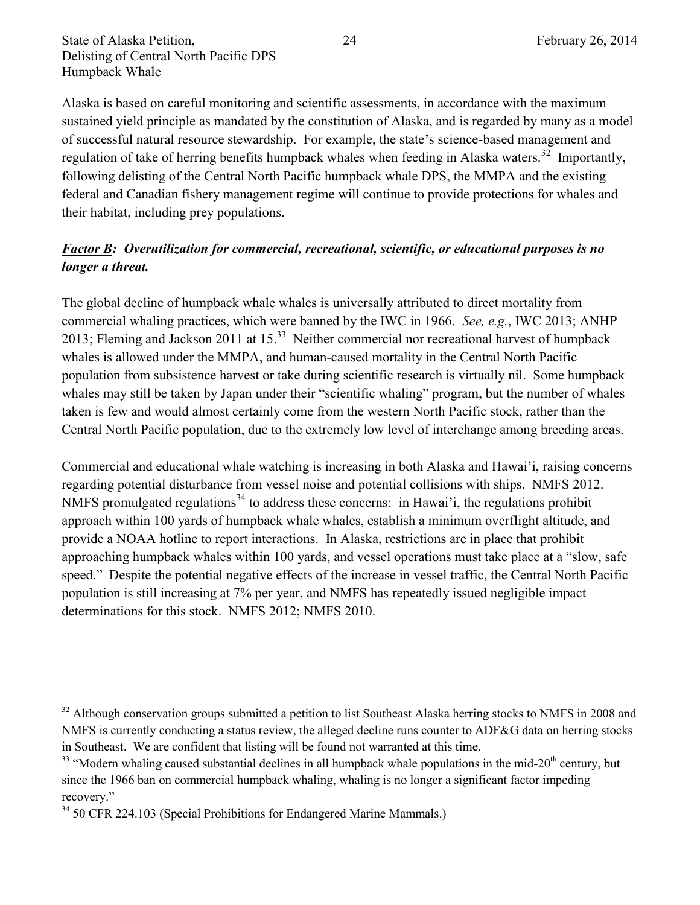Alaska is based on careful monitoring and scientific assessments, in accordance with the maximum sustained yield principle as mandated by the constitution of Alaska, and is regarded by many as a model of successful natural resource stewardship. For example, the state's science-based management and regulation of take of herring benefits humpback whales when feeding in Alaska waters.<sup>32</sup> Importantly, following delisting of the Central North Pacific humpback whale DPS, the MMPA and the existing federal and Canadian fishery management regime will continue to provide protections for whales and their habitat, including prey populations.

## *Factor B: Overutilization for commercial, recreational, scientific, or educational purposes is no longer a threat.*

The global decline of humpback whale whales is universally attributed to direct mortality from commercial whaling practices, which were banned by the IWC in 1966. *See, e.g.*, IWC 2013; ANHP 2013; Fleming and Jackson 2011 at  $15^{33}$  Neither commercial nor recreational harvest of humpback whales is allowed under the MMPA, and human-caused mortality in the Central North Pacific population from subsistence harvest or take during scientific research is virtually nil. Some humpback whales may still be taken by Japan under their "scientific whaling" program, but the number of whales taken is few and would almost certainly come from the western North Pacific stock, rather than the Central North Pacific population, due to the extremely low level of interchange among breeding areas.

Commercial and educational whale watching is increasing in both Alaska and Hawai'i, raising concerns regarding potential disturbance from vessel noise and potential collisions with ships. NMFS 2012. NMFS promulgated regulations<sup>34</sup> to address these concerns: in Hawai'i, the regulations prohibit approach within 100 yards of humpback whale whales, establish a minimum overflight altitude, and provide a NOAA hotline to report interactions. In Alaska, restrictions are in place that prohibit approaching humpback whales within 100 yards, and vessel operations must take place at a "slow, safe speed." Despite the potential negative effects of the increase in vessel traffic, the Central North Pacific population is still increasing at 7% per year, and NMFS has repeatedly issued negligible impact determinations for this stock. NMFS 2012; NMFS 2010.

 $\overline{\phantom{a}}$ 

<sup>&</sup>lt;sup>32</sup> Although conservation groups submitted a petition to list Southeast Alaska herring stocks to NMFS in 2008 and NMFS is currently conducting a status review, the alleged decline runs counter to ADF&G data on herring stocks in Southeast. We are confident that listing will be found not warranted at this time.

 $33$  "Modern whaling caused substantial declines in all humpback whale populations in the mid-20<sup>th</sup> century, but since the 1966 ban on commercial humpback whaling, whaling is no longer a significant factor impeding recovery."

<sup>&</sup>lt;sup>34</sup> 50 CFR 224.103 (Special Prohibitions for Endangered Marine Mammals.)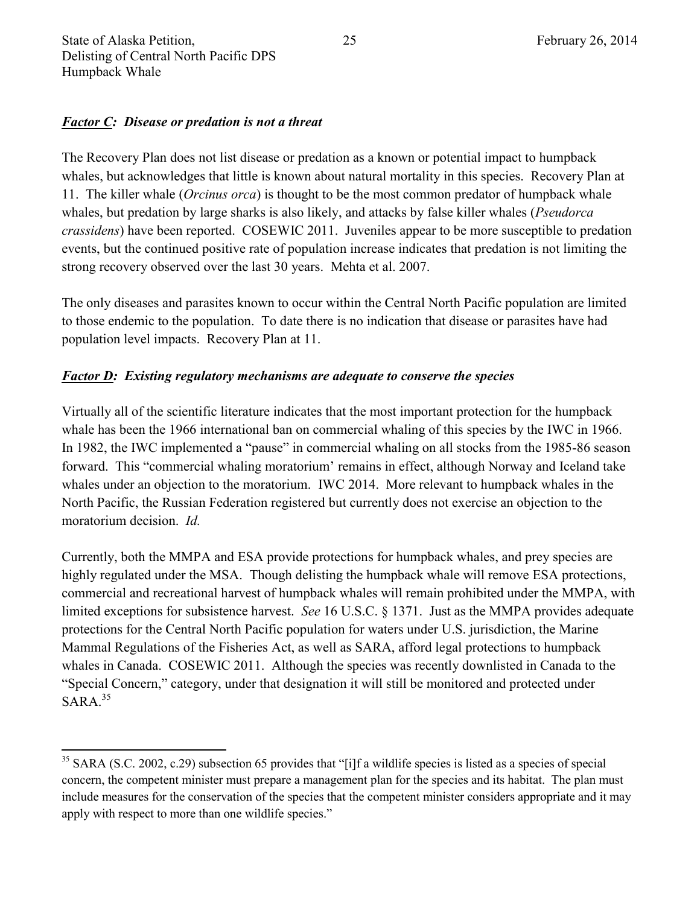$\overline{a}$ 

#### *Factor C: Disease or predation is not a threat*

The Recovery Plan does not list disease or predation as a known or potential impact to humpback whales, but acknowledges that little is known about natural mortality in this species. Recovery Plan at 11. The killer whale (*Orcinus orca*) is thought to be the most common predator of humpback whale whales, but predation by large sharks is also likely, and attacks by false killer whales (*Pseudorca crassidens*) have been reported. COSEWIC 2011. Juveniles appear to be more susceptible to predation events, but the continued positive rate of population increase indicates that predation is not limiting the strong recovery observed over the last 30 years. Mehta et al. 2007.

The only diseases and parasites known to occur within the Central North Pacific population are limited to those endemic to the population. To date there is no indication that disease or parasites have had population level impacts. Recovery Plan at 11.

#### *Factor D: Existing regulatory mechanisms are adequate to conserve the species*

Virtually all of the scientific literature indicates that the most important protection for the humpback whale has been the 1966 international ban on commercial whaling of this species by the IWC in 1966. In 1982, the IWC implemented a "pause" in commercial whaling on all stocks from the 1985-86 season forward. This "commercial whaling moratorium' remains in effect, although Norway and Iceland take whales under an objection to the moratorium. IWC 2014. More relevant to humpback whales in the North Pacific, the Russian Federation registered but currently does not exercise an objection to the moratorium decision. *Id.*

Currently, both the MMPA and ESA provide protections for humpback whales, and prey species are highly regulated under the MSA. Though delisting the humpback whale will remove ESA protections, commercial and recreational harvest of humpback whales will remain prohibited under the MMPA, with limited exceptions for subsistence harvest. *See* 16 U.S.C. § 1371. Just as the MMPA provides adequate protections for the Central North Pacific population for waters under U.S. jurisdiction, the Marine Mammal Regulations of the Fisheries Act, as well as SARA, afford legal protections to humpback whales in Canada. COSEWIC 2011. Although the species was recently downlisted in Canada to the "Special Concern," category, under that designation it will still be monitored and protected under  $SARA.<sup>35</sup>$ 

 $35$  SARA (S.C. 2002, c.29) subsection 65 provides that "[i]f a wildlife species is listed as a species of special concern, the competent minister must prepare a management plan for the species and its habitat. The plan must include measures for the conservation of the species that the competent minister considers appropriate and it may apply with respect to more than one wildlife species."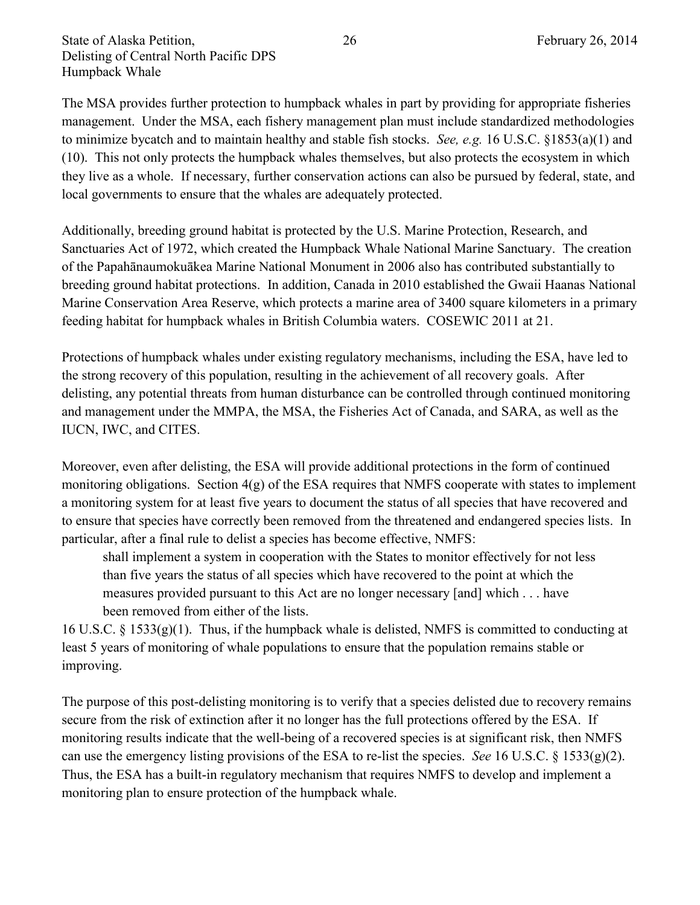The MSA provides further protection to humpback whales in part by providing for appropriate fisheries management. Under the MSA, each fishery management plan must include standardized methodologies to minimize bycatch and to maintain healthy and stable fish stocks. *See, e.g.* 16 U.S.C. §1853(a)(1) and (10). This not only protects the humpback whales themselves, but also protects the ecosystem in which they live as a whole. If necessary, further conservation actions can also be pursued by federal, state, and local governments to ensure that the whales are adequately protected.

Additionally, breeding ground habitat is protected by the U.S. Marine Protection, Research, and Sanctuaries Act of 1972, which created the Humpback Whale National Marine Sanctuary. The creation of the Papahānaumokuākea Marine National Monument in 2006 also has contributed substantially to breeding ground habitat protections. In addition, Canada in 2010 established the Gwaii Haanas National Marine Conservation Area Reserve, which protects a marine area of 3400 square kilometers in a primary feeding habitat for humpback whales in British Columbia waters. COSEWIC 2011 at 21.

Protections of humpback whales under existing regulatory mechanisms, including the ESA, have led to the strong recovery of this population, resulting in the achievement of all recovery goals. After delisting, any potential threats from human disturbance can be controlled through continued monitoring and management under the MMPA, the MSA, the Fisheries Act of Canada, and SARA, as well as the IUCN, IWC, and CITES.

Moreover, even after delisting, the ESA will provide additional protections in the form of continued monitoring obligations. Section 4(g) of the ESA requires that NMFS cooperate with states to implement a monitoring system for at least five years to document the status of all species that have recovered and to ensure that species have correctly been removed from the threatened and endangered species lists. In particular, after a final rule to delist a species has become effective, NMFS:

shall implement a system in cooperation with the States to monitor effectively for not less than five years the status of all species which have recovered to the point at which the measures provided pursuant to this Act are no longer necessary [and] which . . . have been removed from either of the lists.

16 U.S.C.  $\S$  1533(g)(1). Thus, if the humpback whale is delisted, NMFS is committed to conducting at least 5 years of monitoring of whale populations to ensure that the population remains stable or improving.

The purpose of this post-delisting monitoring is to verify that a species delisted due to recovery remains secure from the risk of extinction after it no longer has the full protections offered by the ESA. If monitoring results indicate that the well-being of a recovered species is at significant risk, then NMFS can use the emergency listing provisions of the ESA to re-list the species. *See* 16 U.S.C. § 1533(g)(2). Thus, the ESA has a built-in regulatory mechanism that requires NMFS to develop and implement a monitoring plan to ensure protection of the humpback whale.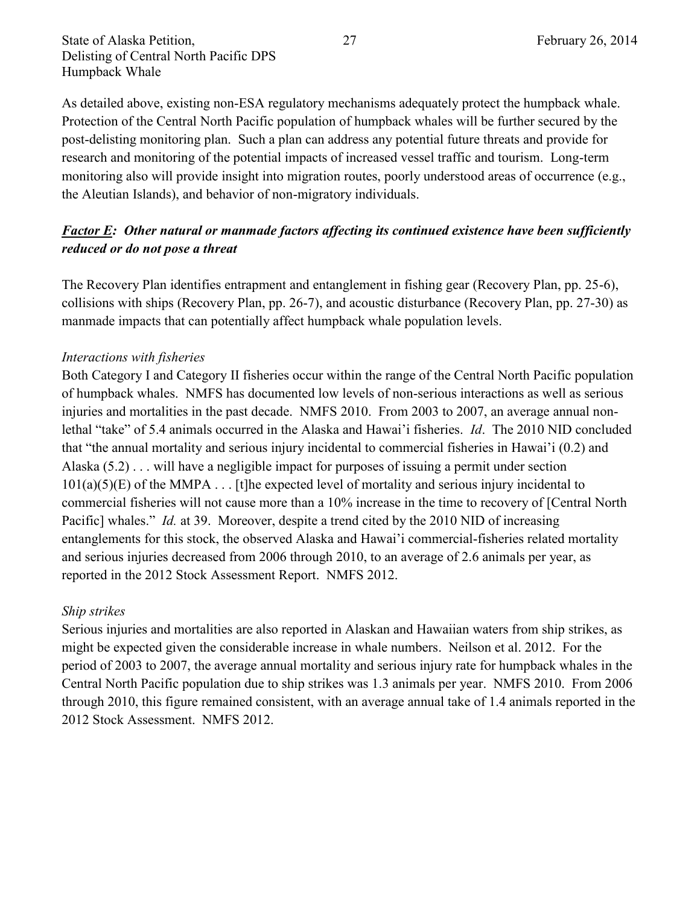As detailed above, existing non-ESA regulatory mechanisms adequately protect the humpback whale. Protection of the Central North Pacific population of humpback whales will be further secured by the post-delisting monitoring plan. Such a plan can address any potential future threats and provide for research and monitoring of the potential impacts of increased vessel traffic and tourism. Long-term monitoring also will provide insight into migration routes, poorly understood areas of occurrence (e.g., the Aleutian Islands), and behavior of non-migratory individuals.

## *Factor E: Other natural or manmade factors affecting its continued existence have been sufficiently reduced or do not pose a threat*

The Recovery Plan identifies entrapment and entanglement in fishing gear (Recovery Plan, pp. 25-6), collisions with ships (Recovery Plan, pp. 26-7), and acoustic disturbance (Recovery Plan, pp. 27-30) as manmade impacts that can potentially affect humpback whale population levels.

## *Interactions with fisheries*

Both Category I and Category II fisheries occur within the range of the Central North Pacific population of humpback whales. NMFS has documented low levels of non-serious interactions as well as serious injuries and mortalities in the past decade. NMFS 2010. From 2003 to 2007, an average annual nonlethal "take" of 5.4 animals occurred in the Alaska and Hawai'i fisheries. *Id*. The 2010 NID concluded that "the annual mortality and serious injury incidental to commercial fisheries in Hawai'i (0.2) and Alaska (5.2) . . . will have a negligible impact for purposes of issuing a permit under section  $101(a)(5)(E)$  of the MMPA . . . [t]he expected level of mortality and serious injury incidental to commercial fisheries will not cause more than a 10% increase in the time to recovery of [Central North Pacific] whales." *Id.* at 39. Moreover, despite a trend cited by the 2010 NID of increasing entanglements for this stock, the observed Alaska and Hawai'i commercial-fisheries related mortality and serious injuries decreased from 2006 through 2010, to an average of 2.6 animals per year, as reported in the 2012 Stock Assessment Report. NMFS 2012.

#### *Ship strikes*

Serious injuries and mortalities are also reported in Alaskan and Hawaiian waters from ship strikes, as might be expected given the considerable increase in whale numbers. Neilson et al. 2012. For the period of 2003 to 2007, the average annual mortality and serious injury rate for humpback whales in the Central North Pacific population due to ship strikes was 1.3 animals per year. NMFS 2010. From 2006 through 2010, this figure remained consistent, with an average annual take of 1.4 animals reported in the 2012 Stock Assessment. NMFS 2012.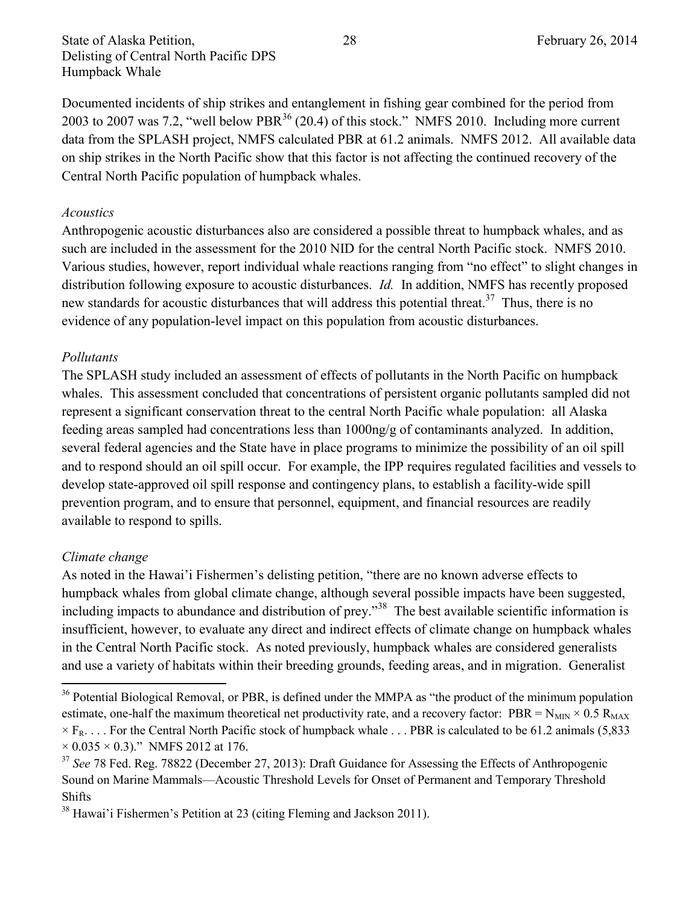State of Alaska Petition, 28 and 28 February 26, 2014 Delisting of Central North Pacific DPS Humpback Whale

Documented incidents of ship strikes and entanglement in fishing gear combined for the period from 2003 to 2007 was 7.2, "well below PBR<sup>36</sup> (20.4) of this stock." NMFS 2010. Including more current data from the SPLASH project, NMFS calculated PBR at 61.2 animals. NMFS 2012. All available data on ship strikes in the North Pacific show that this factor is not affecting the continued recovery of the Central North Pacific population of humpback whales.

#### *Acoustics*

Anthropogenic acoustic disturbances also are considered a possible threat to humpback whales, and as such are included in the assessment for the 2010 NID for the central North Pacific stock. NMFS 2010. Various studies, however, report individual whale reactions ranging from "no effect" to slight changes in distribution following exposure to acoustic disturbances. *Id.* In addition, NMFS has recently proposed new standards for acoustic disturbances that will address this potential threat.<sup>37</sup> Thus, there is no evidence of any population-level impact on this population from acoustic disturbances.

#### *Pollutants*

The SPLASH study included an assessment of effects of pollutants in the North Pacific on humpback whales. This assessment concluded that concentrations of persistent organic pollutants sampled did not represent a significant conservation threat to the central North Pacific whale population: all Alaska feeding areas sampled had concentrations less than 1000ng/g of contaminants analyzed. In addition, several federal agencies and the State have in place programs to minimize the possibility of an oil spill and to respond should an oil spill occur. For example, the IPP requires regulated facilities and vessels to develop state-approved oil spill response and contingency plans, to establish a facility-wide spill prevention program, and to ensure that personnel, equipment, and financial resources are readily available to respond to spills.

#### *Climate change*

 $\overline{\phantom{a}}$ 

As noted in the Hawai'i Fishermen's delisting petition, "there are no known adverse effects to humpback whales from global climate change, although several possible impacts have been suggested, including impacts to abundance and distribution of prey."<sup>38</sup> The best available scientific information is insufficient, however, to evaluate any direct and indirect effects of climate change on humpback whales in the Central North Pacific stock. As noted previously, humpback whales are considered generalists and use a variety of habitats within their breeding grounds, feeding areas, and in migration. Generalist

<sup>&</sup>lt;sup>36</sup> Potential Biological Removal, or PBR, is defined under the MMPA as "the product of the minimum population estimate, one-half the maximum theoretical net productivity rate, and a recovery factor: PBR =  $N_{MIN} \times 0.5 R_{MAX}$  $\times$  F<sub>R</sub>.... For the Central North Pacific stock of humpback whale ... PBR is calculated to be 61.2 animals (5,833)  $\times$  0.035  $\times$  0.3)." NMFS 2012 at 176.

<sup>&</sup>lt;sup>37</sup> See 78 Fed. Reg. 78822 (December 27, 2013): Draft Guidance for Assessing the Effects of Anthropogenic Sound on Marine Mammals—Acoustic Threshold Levels for Onset of Permanent and Temporary Threshold Shifts

<sup>38</sup> Hawai'i Fishermen's Petition at 23 (citing Fleming and Jackson 2011).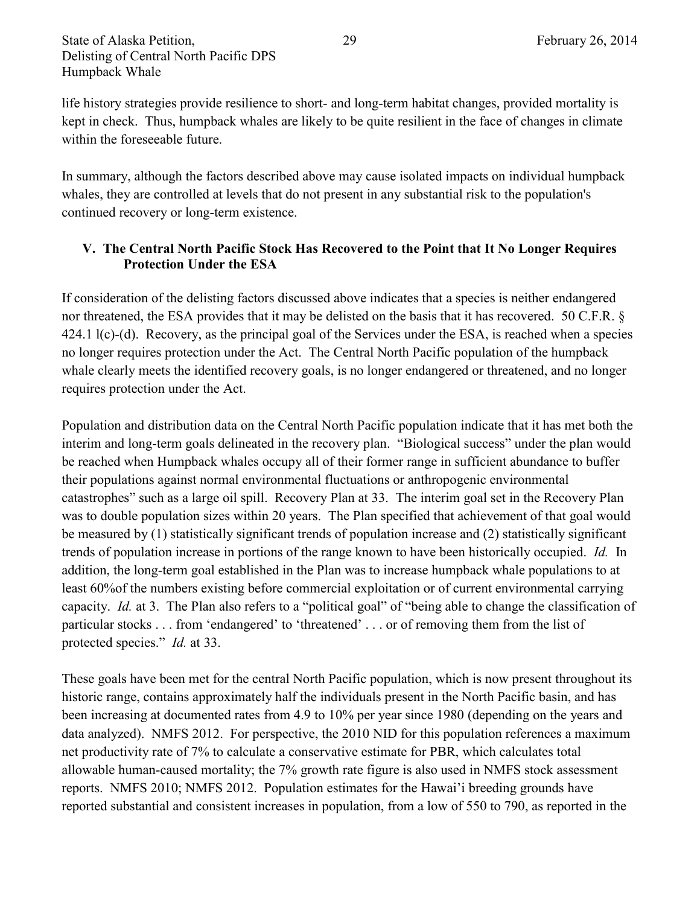life history strategies provide resilience to short- and long-term habitat changes, provided mortality is kept in check. Thus, humpback whales are likely to be quite resilient in the face of changes in climate within the foreseeable future.

In summary, although the factors described above may cause isolated impacts on individual humpback whales, they are controlled at levels that do not present in any substantial risk to the population's continued recovery or long-term existence.

## **V. The Central North Pacific Stock Has Recovered to the Point that It No Longer Requires Protection Under the ESA**

If consideration of the delisting factors discussed above indicates that a species is neither endangered nor threatened, the ESA provides that it may be delisted on the basis that it has recovered. 50 C.F.R. § 424.1 l(c)-(d). Recovery, as the principal goal of the Services under the ESA, is reached when a species no longer requires protection under the Act. The Central North Pacific population of the humpback whale clearly meets the identified recovery goals, is no longer endangered or threatened, and no longer requires protection under the Act.

Population and distribution data on the Central North Pacific population indicate that it has met both the interim and long-term goals delineated in the recovery plan. "Biological success" under the plan would be reached when Humpback whales occupy all of their former range in sufficient abundance to buffer their populations against normal environmental fluctuations or anthropogenic environmental catastrophes" such as a large oil spill. Recovery Plan at 33. The interim goal set in the Recovery Plan was to double population sizes within 20 years. The Plan specified that achievement of that goal would be measured by (1) statistically significant trends of population increase and (2) statistically significant trends of population increase in portions of the range known to have been historically occupied. *Id.* In addition, the long-term goal established in the Plan was to increase humpback whale populations to at least 60%of the numbers existing before commercial exploitation or of current environmental carrying capacity. *Id.* at 3. The Plan also refers to a "political goal" of "being able to change the classification of particular stocks . . . from 'endangered' to 'threatened' . . . or of removing them from the list of protected species." *Id.* at 33.

These goals have been met for the central North Pacific population, which is now present throughout its historic range, contains approximately half the individuals present in the North Pacific basin, and has been increasing at documented rates from 4.9 to 10% per year since 1980 (depending on the years and data analyzed). NMFS 2012. For perspective, the 2010 NID for this population references a maximum net productivity rate of 7% to calculate a conservative estimate for PBR, which calculates total allowable human-caused mortality; the 7% growth rate figure is also used in NMFS stock assessment reports. NMFS 2010; NMFS 2012. Population estimates for the Hawai'i breeding grounds have reported substantial and consistent increases in population, from a low of 550 to 790, as reported in the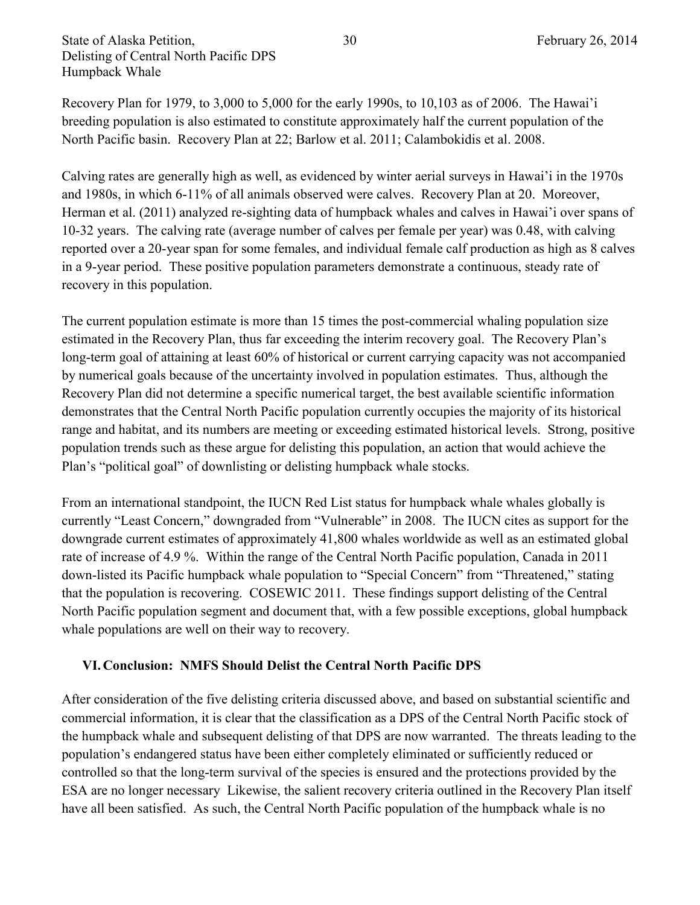Recovery Plan for 1979, to 3,000 to 5,000 for the early 1990s, to 10,103 as of 2006. The Hawai'i breeding population is also estimated to constitute approximately half the current population of the North Pacific basin. Recovery Plan at 22; Barlow et al. 2011; Calambokidis et al. 2008.

Calving rates are generally high as well, as evidenced by winter aerial surveys in Hawai'i in the 1970s and 1980s, in which 6-11% of all animals observed were calves. Recovery Plan at 20. Moreover, Herman et al. (2011) analyzed re-sighting data of humpback whales and calves in Hawai'i over spans of 10-32 years. The calving rate (average number of calves per female per year) was 0.48, with calving reported over a 20-year span for some females, and individual female calf production as high as 8 calves in a 9-year period. These positive population parameters demonstrate a continuous, steady rate of recovery in this population.

The current population estimate is more than 15 times the post-commercial whaling population size estimated in the Recovery Plan, thus far exceeding the interim recovery goal. The Recovery Plan's long-term goal of attaining at least 60% of historical or current carrying capacity was not accompanied by numerical goals because of the uncertainty involved in population estimates. Thus, although the Recovery Plan did not determine a specific numerical target, the best available scientific information demonstrates that the Central North Pacific population currently occupies the majority of its historical range and habitat, and its numbers are meeting or exceeding estimated historical levels. Strong, positive population trends such as these argue for delisting this population, an action that would achieve the Plan's "political goal" of downlisting or delisting humpback whale stocks.

From an international standpoint, the IUCN Red List status for humpback whale whales globally is currently "Least Concern," downgraded from "Vulnerable" in 2008. The IUCN cites as support for the downgrade current estimates of approximately 41,800 whales worldwide as well as an estimated global rate of increase of 4.9 %. Within the range of the Central North Pacific population, Canada in 2011 down-listed its Pacific humpback whale population to "Special Concern" from "Threatened," stating that the population is recovering. COSEWIC 2011. These findings support delisting of the Central North Pacific population segment and document that, with a few possible exceptions, global humpback whale populations are well on their way to recovery.

#### **VI.Conclusion: NMFS Should Delist the Central North Pacific DPS**

After consideration of the five delisting criteria discussed above, and based on substantial scientific and commercial information, it is clear that the classification as a DPS of the Central North Pacific stock of the humpback whale and subsequent delisting of that DPS are now warranted. The threats leading to the population's endangered status have been either completely eliminated or sufficiently reduced or controlled so that the long-term survival of the species is ensured and the protections provided by the ESA are no longer necessary Likewise, the salient recovery criteria outlined in the Recovery Plan itself have all been satisfied. As such, the Central North Pacific population of the humpback whale is no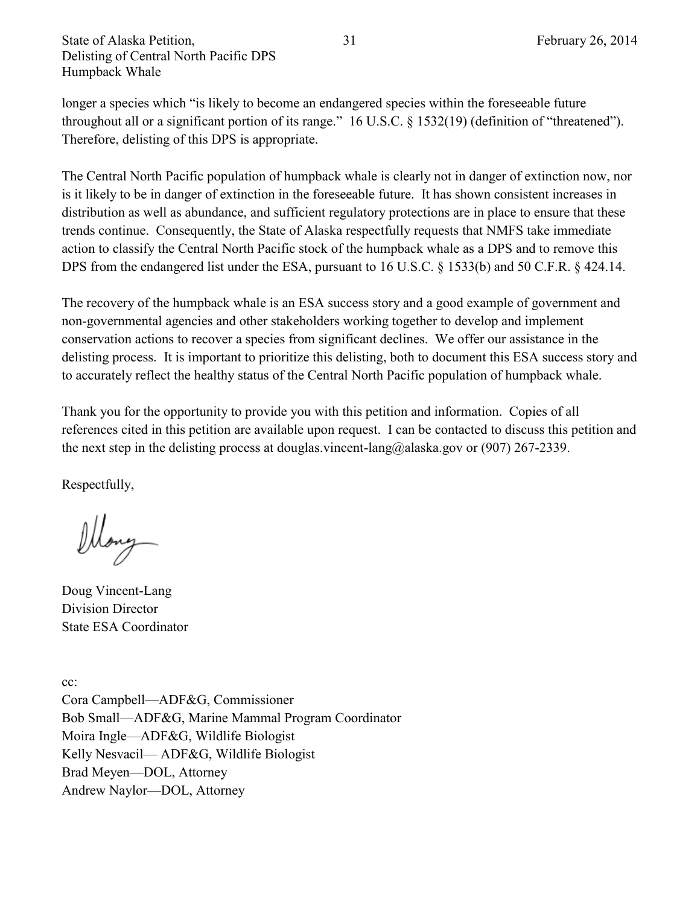longer a species which "is likely to become an endangered species within the foreseeable future throughout all or a significant portion of its range." 16 U.S.C. § 1532(19) (definition of "threatened"). Therefore, delisting of this DPS is appropriate.

The Central North Pacific population of humpback whale is clearly not in danger of extinction now, nor is it likely to be in danger of extinction in the foreseeable future. It has shown consistent increases in distribution as well as abundance, and sufficient regulatory protections are in place to ensure that these trends continue. Consequently, the State of Alaska respectfully requests that NMFS take immediate action to classify the Central North Pacific stock of the humpback whale as a DPS and to remove this DPS from the endangered list under the ESA, pursuant to 16 U.S.C. § 1533(b) and 50 C.F.R. § 424.14.

The recovery of the humpback whale is an ESA success story and a good example of government and non-governmental agencies and other stakeholders working together to develop and implement conservation actions to recover a species from significant declines. We offer our assistance in the delisting process. It is important to prioritize this delisting, both to document this ESA success story and to accurately reflect the healthy status of the Central North Pacific population of humpback whale.

Thank you for the opportunity to provide you with this petition and information. Copies of all references cited in this petition are available upon request. I can be contacted to discuss this petition and the next step in the delisting process at douglas.vincent-lang@alaska.gov or (907) 267-2339.

Respectfully,

ellong

Doug Vincent-Lang Division Director State ESA Coordinator

cc: Cora Campbell—ADF&G, Commissioner Bob Small—ADF&G, Marine Mammal Program Coordinator Moira Ingle—ADF&G, Wildlife Biologist Kelly Nesvacil— ADF&G, Wildlife Biologist Brad Meyen—DOL, Attorney Andrew Naylor—DOL, Attorney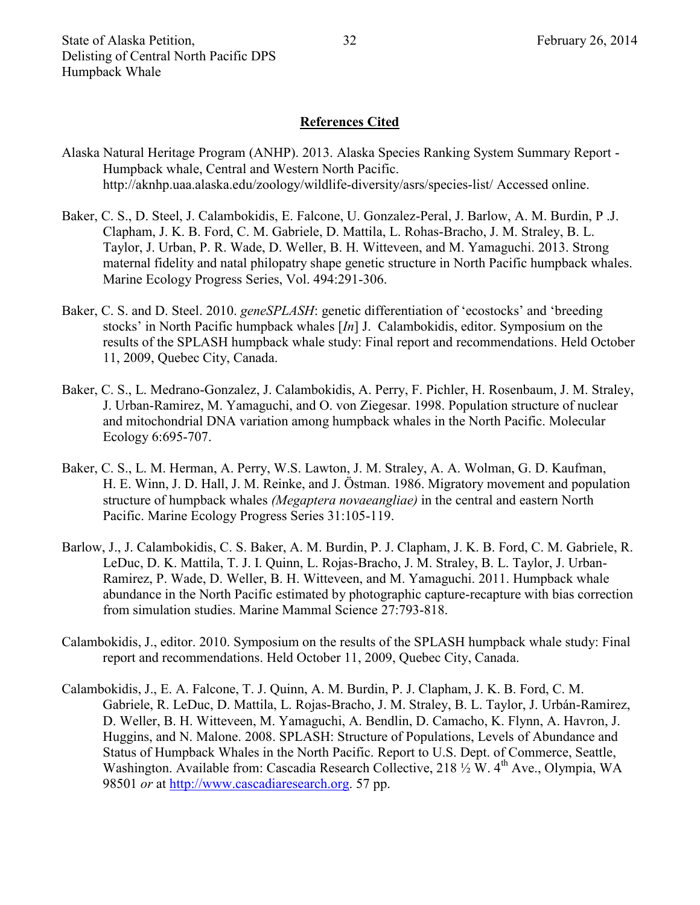## **References Cited**

- Alaska Natural Heritage Program (ANHP). 2013. Alaska Species Ranking System Summary Report Humpback whale, Central and Western North Pacific. http://aknhp.uaa.alaska.edu/zoology/wildlife-diversity/asrs/species-list/ Accessed online.
- Baker, C. S., D. Steel, J. Calambokidis, E. Falcone, U. Gonzalez-Peral, J. Barlow, A. M. Burdin, P .J. Clapham, J. K. B. Ford, C. M. Gabriele, D. Mattila, L. Rohas-Bracho, J. M. Straley, B. L. Taylor, J. Urban, P. R. Wade, D. Weller, B. H. Witteveen, and M. Yamaguchi. 2013. Strong maternal fidelity and natal philopatry shape genetic structure in North Pacific humpback whales. Marine Ecology Progress Series, Vol. 494:291-306.
- Baker, C. S. and D. Steel. 2010. *geneSPLASH*: genetic differentiation of 'ecostocks' and 'breeding stocks' in North Pacific humpback whales [*In*] J. Calambokidis, editor. Symposium on the results of the SPLASH humpback whale study: Final report and recommendations. Held October 11, 2009, Quebec City, Canada.
- Baker, C. S., L. Medrano-Gonzalez, J. Calambokidis, A. Perry, F. Pichler, H. Rosenbaum, J. M. Straley, J. Urban-Ramirez, M. Yamaguchi, and O. von Ziegesar. 1998. Population structure of nuclear and mitochondrial DNA variation among humpback whales in the North Pacific. Molecular Ecology 6:695-707.
- Baker, C. S., L. M. Herman, A. Perry, W.S. Lawton, J. M. Straley, A. A. Wolman, G. D. Kaufman, H. E. Winn, J. D. Hall, J. M. Reinke, and J. Östman. 1986. Migratory movement and population structure of humpback whales *(Megaptera novaeangliae)* in the central and eastern North Pacific. Marine Ecology Progress Series 31:105-119.
- Barlow, J., J. Calambokidis, C. S. Baker, A. M. Burdin, P. J. Clapham, J. K. B. Ford, C. M. Gabriele, R. LeDuc, D. K. Mattila, T. J. I. Quinn, L. Rojas-Bracho, J. M. Straley, B. L. Taylor, J. Urban-Ramirez, P. Wade, D. Weller, B. H. Witteveen, and M. Yamaguchi. 2011. Humpback whale abundance in the North Pacific estimated by photographic capture-recapture with bias correction from simulation studies. Marine Mammal Science 27:793-818.
- Calambokidis, J., editor. 2010. Symposium on the results of the SPLASH humpback whale study: Final report and recommendations. Held October 11, 2009, Quebec City, Canada.
- Calambokidis, J., E. A. Falcone, T. J. Quinn, A. M. Burdin, P. J. Clapham, J. K. B. Ford, C. M. Gabriele, R. LeDuc, D. Mattila, L. Rojas-Bracho, J. M. Straley, B. L. Taylor, J. Urbán-Ramirez, D. Weller, B. H. Witteveen, M. Yamaguchi, A. Bendlin, D. Camacho, K. Flynn, A. Havron, J. Huggins, and N. Malone. 2008. SPLASH: Structure of Populations, Levels of Abundance and Status of Humpback Whales in the North Pacific. Report to U.S. Dept. of Commerce, Seattle, Washington. Available from: Cascadia Research Collective, 218 1/2 W. 4<sup>th</sup> Ave., Olympia, WA 98501 *or* at [http://www.cascadiaresearch.org.](http://www.cascadiaresearch.org/) 57 pp.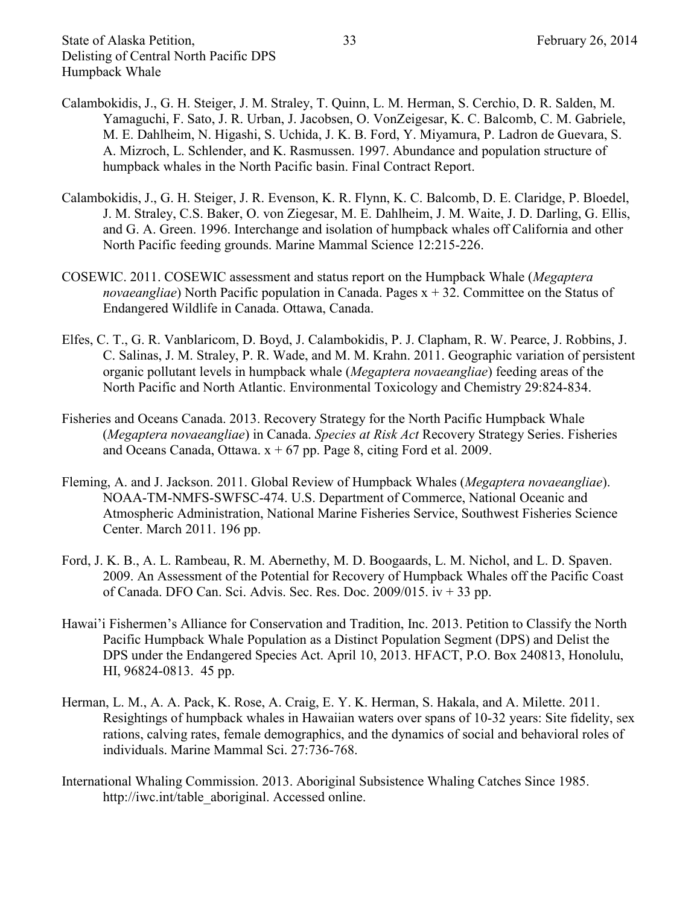- Calambokidis, J., G. H. Steiger, J. M. Straley, T. Quinn, L. M. Herman, S. Cerchio, D. R. Salden, M. Yamaguchi, F. Sato, J. R. Urban, J. Jacobsen, O. VonZeigesar, K. C. Balcomb, C. M. Gabriele, M. E. Dahlheim, N. Higashi, S. Uchida, J. K. B. Ford, Y. Miyamura, P. Ladron de Guevara, S. A. Mizroch, L. Schlender, and K. Rasmussen. 1997. Abundance and population structure of humpback whales in the North Pacific basin. Final Contract Report.
- Calambokidis, J., G. H. Steiger, J. R. Evenson, K. R. Flynn, K. C. Balcomb, D. E. Claridge, P. Bloedel, J. M. Straley, C.S. Baker, O. von Ziegesar, M. E. Dahlheim, J. M. Waite, J. D. Darling, G. Ellis, and G. A. Green. 1996. Interchange and isolation of humpback whales off California and other North Pacific feeding grounds. Marine Mammal Science 12:215-226.
- COSEWIC. 2011. COSEWIC assessment and status report on the Humpback Whale (*Megaptera novaeangliae*) North Pacific population in Canada. Pages x + 32. Committee on the Status of Endangered Wildlife in Canada. Ottawa, Canada.
- Elfes, C. T., G. R. Vanblaricom, D. Boyd, J. Calambokidis, P. J. Clapham, R. W. Pearce, J. Robbins, J. C. Salinas, J. M. Straley, P. R. Wade, and M. M. Krahn. 2011. Geographic variation of persistent organic pollutant levels in humpback whale (*Megaptera novaeangliae*) feeding areas of the North Pacific and North Atlantic. Environmental Toxicology and Chemistry 29:824-834.
- Fisheries and Oceans Canada. 2013. Recovery Strategy for the North Pacific Humpback Whale (*Megaptera novaeangliae*) in Canada. *Species at Risk Act* Recovery Strategy Series. Fisheries and Oceans Canada, Ottawa.  $x + 67$  pp. Page 8, citing Ford et al. 2009.
- Fleming, A. and J. Jackson. 2011. Global Review of Humpback Whales (*Megaptera novaeangliae*). NOAA-TM-NMFS-SWFSC-474. U.S. Department of Commerce, National Oceanic and Atmospheric Administration, National Marine Fisheries Service, Southwest Fisheries Science Center. March 2011. 196 pp.
- Ford, J. K. B., A. L. Rambeau, R. M. Abernethy, M. D. Boogaards, L. M. Nichol, and L. D. Spaven. 2009. An Assessment of the Potential for Recovery of Humpback Whales off the Pacific Coast of Canada. DFO Can. Sci. Advis. Sec. Res. Doc.  $2009/015$ . iv  $+33$  pp.
- Hawai'i Fishermen's Alliance for Conservation and Tradition, Inc. 2013. Petition to Classify the North Pacific Humpback Whale Population as a Distinct Population Segment (DPS) and Delist the DPS under the Endangered Species Act. April 10, 2013. HFACT, P.O. Box 240813, Honolulu, HI, 96824-0813. 45 pp.
- Herman, L. M., A. A. Pack, K. Rose, A. Craig, E. Y. K. Herman, S. Hakala, and A. Milette. 2011. Resightings of humpback whales in Hawaiian waters over spans of 10-32 years: Site fidelity, sex rations, calving rates, female demographics, and the dynamics of social and behavioral roles of individuals. Marine Mammal Sci. 27:736-768.
- International Whaling Commission. 2013. Aboriginal Subsistence Whaling Catches Since 1985. http://iwc.int/table\_aboriginal. Accessed online.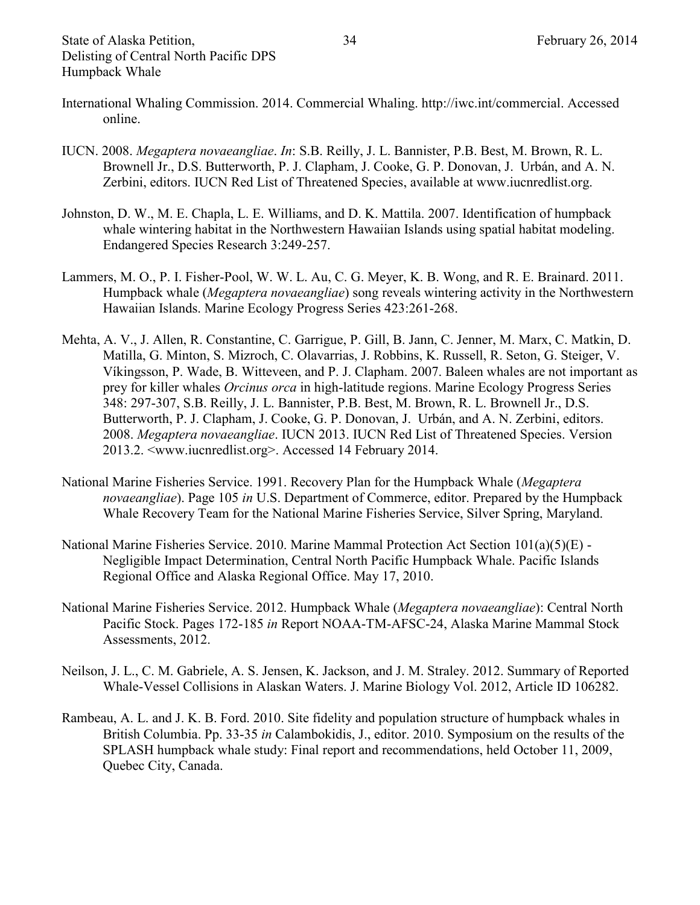- International Whaling Commission. 2014. Commercial Whaling. http://iwc.int/commercial. Accessed online.
- IUCN. 2008. *Megaptera novaeangliae*. *In*: S.B. Reilly, J. L. Bannister, P.B. Best, M. Brown, R. L. Brownell Jr., D.S. Butterworth, P. J. Clapham, J. Cooke, G. P. Donovan, J. Urbán, and A. N. Zerbini, editors. IUCN Red List of Threatened Species, available at www.iucnredlist.org.
- Johnston, D. W., M. E. Chapla, L. E. Williams, and D. K. Mattila. 2007. Identification of humpback whale wintering habitat in the Northwestern Hawaiian Islands using spatial habitat modeling. Endangered Species Research 3:249-257.
- Lammers, M. O., P. I. Fisher-Pool, W. W. L. Au, C. G. Meyer, K. B. Wong, and R. E. Brainard. 2011. Humpback whale (*Megaptera novaeangliae*) song reveals wintering activity in the Northwestern Hawaiian Islands. Marine Ecology Progress Series 423:261-268.
- Mehta, A. V., J. Allen, R. Constantine, C. Garrigue, P. Gill, B. Jann, C. Jenner, M. Marx, C. Matkin, D. Matilla, G. Minton, S. Mizroch, C. Olavarrias, J. Robbins, K. Russell, R. Seton, G. Steiger, V. Víkingsson, P. Wade, B. Witteveen, and P. J. Clapham. 2007. Baleen whales are not important as prey for killer whales *Orcinus orca* in high-latitude regions. Marine Ecology Progress Series 348: 297-307, S.B. Reilly, J. L. Bannister, P.B. Best, M. Brown, R. L. Brownell Jr., D.S. Butterworth, P. J. Clapham, J. Cooke, G. P. Donovan, J. Urbán, and A. N. Zerbini, editors. 2008. *Megaptera novaeangliae*. IUCN 2013. IUCN Red List of Threatened Species. Version 2013.2. [<www.iucnredlist.org>](http://www.iucnredlist.org/). Accessed 14 February 2014.
- National Marine Fisheries Service. 1991. Recovery Plan for the Humpback Whale (*Megaptera novaeangliae*). Page 105 *in* U.S. Department of Commerce, editor. Prepared by the Humpback Whale Recovery Team for the National Marine Fisheries Service, Silver Spring, Maryland.
- National Marine Fisheries Service. 2010. Marine Mammal Protection Act Section 101(a)(5)(E) Negligible Impact Determination, Central North Pacific Humpback Whale. Pacific Islands Regional Office and Alaska Regional Office. May 17, 2010.
- National Marine Fisheries Service. 2012. Humpback Whale (*Megaptera novaeangliae*): Central North Pacific Stock. Pages 172-185 *in* Report NOAA-TM-AFSC-24, Alaska Marine Mammal Stock Assessments, 2012.
- Neilson, J. L., C. M. Gabriele, A. S. Jensen, K. Jackson, and J. M. Straley. 2012. Summary of Reported Whale-Vessel Collisions in Alaskan Waters. J. Marine Biology Vol. 2012, Article ID 106282.
- Rambeau, A. L. and J. K. B. Ford. 2010. Site fidelity and population structure of humpback whales in British Columbia. Pp. 33-35 *in* Calambokidis, J., editor. 2010. Symposium on the results of the SPLASH humpback whale study: Final report and recommendations, held October 11, 2009, Quebec City, Canada.